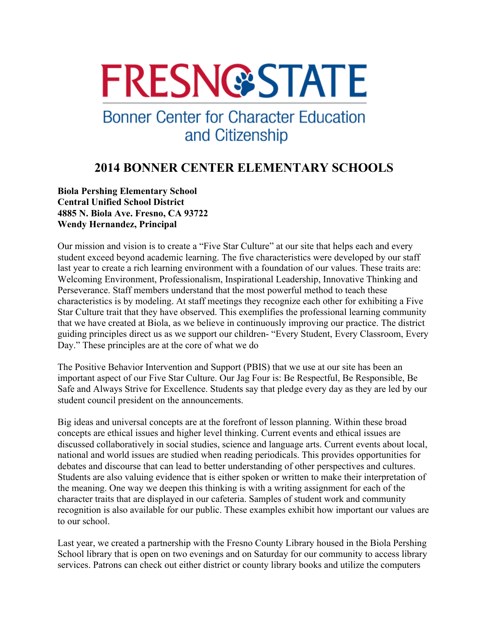# **FRESN@STATE**

## **Bonner Center for Character Education** and Citizenship

### **2014 BONNER CENTER ELEMENTARY SCHOOLS**

**Biola Pershing Elementary School Central Unified School District 4885 N. Biola Ave. Fresno, CA 93722 Wendy Hernandez, Principal** 

Our mission and vision is to create a "Five Star Culture" at our site that helps each and every student exceed beyond academic learning. The five characteristics were developed by our staff last year to create a rich learning environment with a foundation of our values. These traits are: Welcoming Environment, Professionalism, Inspirational Leadership, Innovative Thinking and Perseverance. Staff members understand that the most powerful method to teach these characteristics is by modeling. At staff meetings they recognize each other for exhibiting a Five Star Culture trait that they have observed. This exemplifies the professional learning community that we have created at Biola, as we believe in continuously improving our practice. The district guiding principles direct us as we support our children- "Every Student, Every Classroom, Every Day." These principles are at the core of what we do

The Positive Behavior Intervention and Support (PBIS) that we use at our site has been an important aspect of our Five Star Culture. Our Jag Four is: Be Respectful, Be Responsible, Be Safe and Always Strive for Excellence. Students say that pledge every day as they are led by our student council president on the announcements.

Big ideas and universal concepts are at the forefront of lesson planning. Within these broad concepts are ethical issues and higher level thinking. Current events and ethical issues are discussed collaboratively in social studies, science and language arts. Current events about local, national and world issues are studied when reading periodicals. This provides opportunities for debates and discourse that can lead to better understanding of other perspectives and cultures. Students are also valuing evidence that is either spoken or written to make their interpretation of the meaning. One way we deepen this thinking is with a writing assignment for each of the character traits that are displayed in our cafeteria. Samples of student work and community recognition is also available for our public. These examples exhibit how important our values are to our school.

Last year, we created a partnership with the Fresno County Library housed in the Biola Pershing School library that is open on two evenings and on Saturday for our community to access library services. Patrons can check out either district or county library books and utilize the computers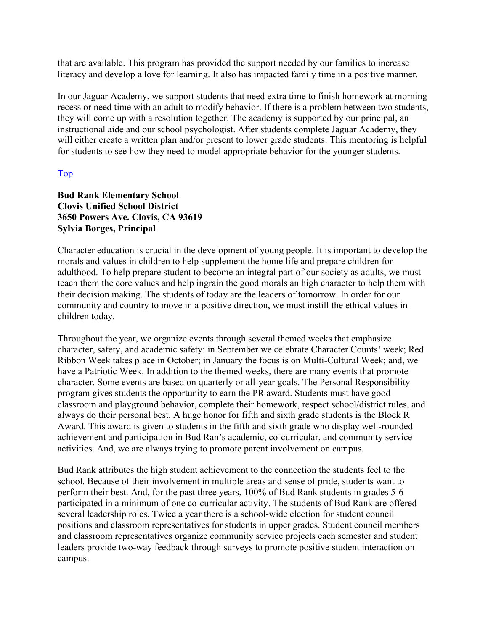that are available. This program has provided the support needed by our families to increase literacy and develop a love for learning. It also has impacted family time in a positive manner.

In our Jaguar Academy, we support students that need extra time to finish homework at morning recess or need time with an adult to modify behavior. If there is a problem between two students, they will come up with a resolution together. The academy is supported by our principal, an instructional aide and our school psychologist. After students complete Jaguar Academy, they will either create a written plan and/or present to lower grade students. This mentoring is helpful for students to see how they need to model appropriate behavior for the younger students.

#### Top

#### **Bud Rank Elementary School Clovis Unified School District 3650 Powers Ave. Clovis, CA 93619 Sylvia Borges, Principal**

Character education is crucial in the development of young people. It is important to develop the morals and values in children to help supplement the home life and prepare children for adulthood. To help prepare student to become an integral part of our society as adults, we must teach them the core values and help ingrain the good morals an high character to help them with their decision making. The students of today are the leaders of tomorrow. In order for our community and country to move in a positive direction, we must instill the ethical values in children today.

Throughout the year, we organize events through several themed weeks that emphasize character, safety, and academic safety: in September we celebrate Character Counts! week; Red Ribbon Week takes place in October; in January the focus is on Multi-Cultural Week; and, we have a Patriotic Week. In addition to the themed weeks, there are many events that promote character. Some events are based on quarterly or all-year goals. The Personal Responsibility program gives students the opportunity to earn the PR award. Students must have good classroom and playground behavior, complete their homework, respect school/district rules, and always do their personal best. A huge honor for fifth and sixth grade students is the Block R Award. This award is given to students in the fifth and sixth grade who display well-rounded achievement and participation in Bud Ran's academic, co-curricular, and community service activities. And, we are always trying to promote parent involvement on campus.

Bud Rank attributes the high student achievement to the connection the students feel to the school. Because of their involvement in multiple areas and sense of pride, students want to perform their best. And, for the past three years, 100% of Bud Rank students in grades 5-6 participated in a minimum of one co-curricular activity. The students of Bud Rank are offered several leadership roles. Twice a year there is a school-wide election for student council positions and classroom representatives for students in upper grades. Student council members and classroom representatives organize community service projects each semester and student leaders provide two-way feedback through surveys to promote positive student interaction on campus.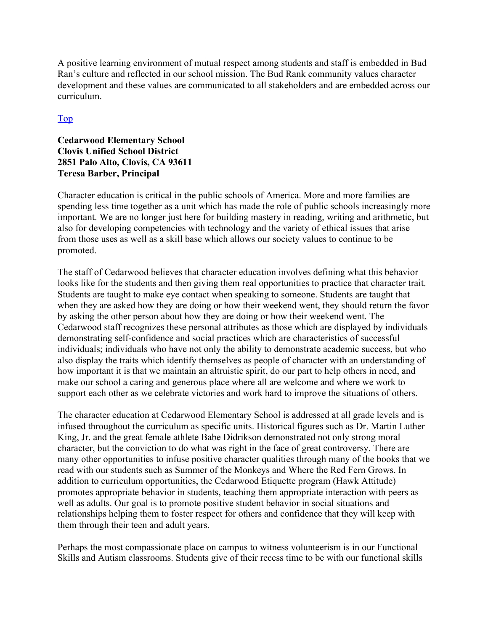A positive learning environment of mutual respect among students and staff is embedded in Bud Ran's culture and reflected in our school mission. The Bud Rank community values character development and these values are communicated to all stakeholders and are embedded across our curriculum.

#### Top

#### **Cedarwood Elementary School Clovis Unified School District 2851 Palo Alto, Clovis, CA 93611 Teresa Barber, Principal**

Character education is critical in the public schools of America. More and more families are spending less time together as a unit which has made the role of public schools increasingly more important. We are no longer just here for building mastery in reading, writing and arithmetic, but also for developing competencies with technology and the variety of ethical issues that arise from those uses as well as a skill base which allows our society values to continue to be promoted.

The staff of Cedarwood believes that character education involves defining what this behavior looks like for the students and then giving them real opportunities to practice that character trait. Students are taught to make eye contact when speaking to someone. Students are taught that when they are asked how they are doing or how their weekend went, they should return the favor by asking the other person about how they are doing or how their weekend went. The Cedarwood staff recognizes these personal attributes as those which are displayed by individuals demonstrating self-confidence and social practices which are characteristics of successful individuals; individuals who have not only the ability to demonstrate academic success, but who also display the traits which identify themselves as people of character with an understanding of how important it is that we maintain an altruistic spirit, do our part to help others in need, and make our school a caring and generous place where all are welcome and where we work to support each other as we celebrate victories and work hard to improve the situations of others.

The character education at Cedarwood Elementary School is addressed at all grade levels and is infused throughout the curriculum as specific units. Historical figures such as Dr. Martin Luther King, Jr. and the great female athlete Babe Didrikson demonstrated not only strong moral character, but the conviction to do what was right in the face of great controversy. There are many other opportunities to infuse positive character qualities through many of the books that we read with our students such as Summer of the Monkeys and Where the Red Fern Grows. In addition to curriculum opportunities, the Cedarwood Etiquette program (Hawk Attitude) promotes appropriate behavior in students, teaching them appropriate interaction with peers as well as adults. Our goal is to promote positive student behavior in social situations and relationships helping them to foster respect for others and confidence that they will keep with them through their teen and adult years.

Perhaps the most compassionate place on campus to witness volunteerism is in our Functional Skills and Autism classrooms. Students give of their recess time to be with our functional skills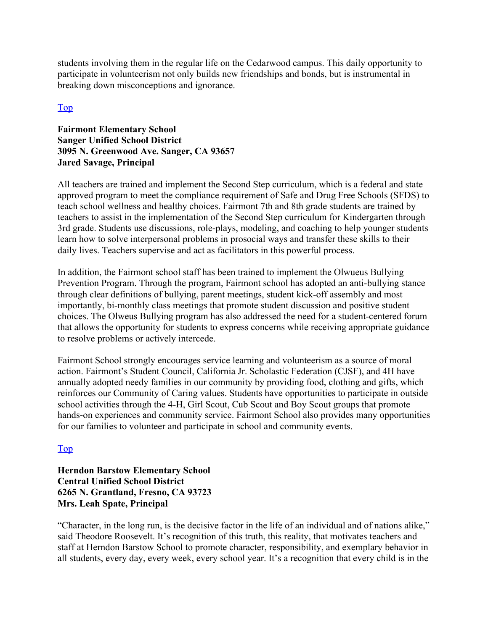students involving them in the regular life on the Cedarwood campus. This daily opportunity to participate in volunteerism not only builds new friendships and bonds, but is instrumental in breaking down misconceptions and ignorance.

#### Top

#### **Fairmont Elementary School Sanger Unified School District 3095 N. Greenwood Ave. Sanger, CA 93657 Jared Savage, Principal**

All teachers are trained and implement the Second Step curriculum, which is a federal and state approved program to meet the compliance requirement of Safe and Drug Free Schools (SFDS) to teach school wellness and healthy choices. Fairmont 7th and 8th grade students are trained by teachers to assist in the implementation of the Second Step curriculum for Kindergarten through 3rd grade. Students use discussions, role-plays, modeling, and coaching to help younger students learn how to solve interpersonal problems in prosocial ways and transfer these skills to their daily lives. Teachers supervise and act as facilitators in this powerful process.

In addition, the Fairmont school staff has been trained to implement the Olwueus Bullying Prevention Program. Through the program, Fairmont school has adopted an anti-bullying stance through clear definitions of bullying, parent meetings, student kick-off assembly and most importantly, bi-monthly class meetings that promote student discussion and positive student choices. The Olweus Bullying program has also addressed the need for a student-centered forum that allows the opportunity for students to express concerns while receiving appropriate guidance to resolve problems or actively intercede.

Fairmont School strongly encourages service learning and volunteerism as a source of moral action. Fairmont's Student Council, California Jr. Scholastic Federation (CJSF), and 4H have annually adopted needy families in our community by providing food, clothing and gifts, which reinforces our Community of Caring values. Students have opportunities to participate in outside school activities through the 4-H, Girl Scout, Cub Scout and Boy Scout groups that promote hands-on experiences and community service. Fairmont School also provides many opportunities for our families to volunteer and participate in school and community events.

#### Top

#### **Herndon Barstow Elementary School Central Unified School District 6265 N. Grantland, Fresno, CA 93723 Mrs. Leah Spate, Principal**

"Character, in the long run, is the decisive factor in the life of an individual and of nations alike," said Theodore Roosevelt. It's recognition of this truth, this reality, that motivates teachers and staff at Herndon Barstow School to promote character, responsibility, and exemplary behavior in all students, every day, every week, every school year. It's a recognition that every child is in the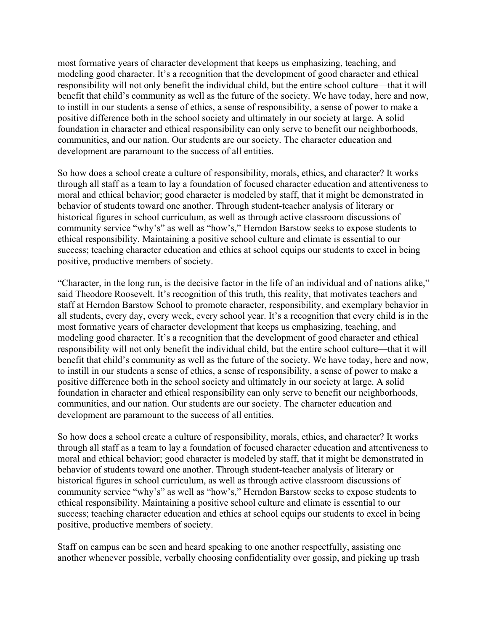most formative years of character development that keeps us emphasizing, teaching, and modeling good character. It's a recognition that the development of good character and ethical responsibility will not only benefit the individual child, but the entire school culture—that it will benefit that child's community as well as the future of the society. We have today, here and now, to instill in our students a sense of ethics, a sense of responsibility, a sense of power to make a positive difference both in the school society and ultimately in our society at large. A solid foundation in character and ethical responsibility can only serve to benefit our neighborhoods, communities, and our nation. Our students are our society. The character education and development are paramount to the success of all entities.

So how does a school create a culture of responsibility, morals, ethics, and character? It works through all staff as a team to lay a foundation of focused character education and attentiveness to moral and ethical behavior; good character is modeled by staff, that it might be demonstrated in behavior of students toward one another. Through student-teacher analysis of literary or historical figures in school curriculum, as well as through active classroom discussions of community service "why's" as well as "how's," Herndon Barstow seeks to expose students to ethical responsibility. Maintaining a positive school culture and climate is essential to our success; teaching character education and ethics at school equips our students to excel in being positive, productive members of society.

"Character, in the long run, is the decisive factor in the life of an individual and of nations alike," said Theodore Roosevelt. It's recognition of this truth, this reality, that motivates teachers and staff at Herndon Barstow School to promote character, responsibility, and exemplary behavior in all students, every day, every week, every school year. It's a recognition that every child is in the most formative years of character development that keeps us emphasizing, teaching, and modeling good character. It's a recognition that the development of good character and ethical responsibility will not only benefit the individual child, but the entire school culture—that it will benefit that child's community as well as the future of the society. We have today, here and now, to instill in our students a sense of ethics, a sense of responsibility, a sense of power to make a positive difference both in the school society and ultimately in our society at large. A solid foundation in character and ethical responsibility can only serve to benefit our neighborhoods, communities, and our nation. Our students are our society. The character education and development are paramount to the success of all entities.

So how does a school create a culture of responsibility, morals, ethics, and character? It works through all staff as a team to lay a foundation of focused character education and attentiveness to moral and ethical behavior; good character is modeled by staff, that it might be demonstrated in behavior of students toward one another. Through student-teacher analysis of literary or historical figures in school curriculum, as well as through active classroom discussions of community service "why's" as well as "how's," Herndon Barstow seeks to expose students to ethical responsibility. Maintaining a positive school culture and climate is essential to our success; teaching character education and ethics at school equips our students to excel in being positive, productive members of society.

Staff on campus can be seen and heard speaking to one another respectfully, assisting one another whenever possible, verbally choosing confidentiality over gossip, and picking up trash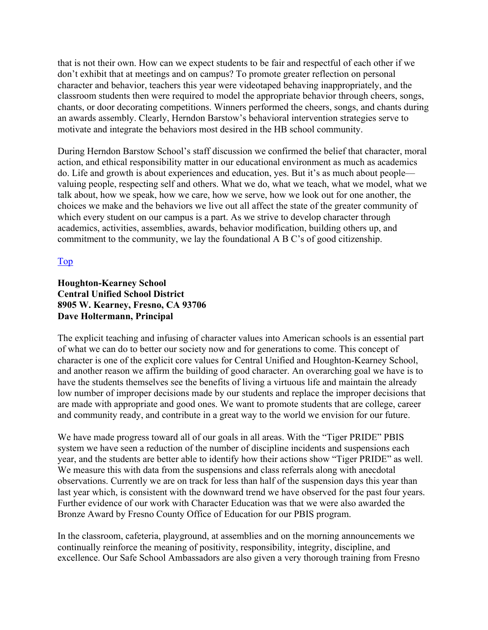that is not their own. How can we expect students to be fair and respectful of each other if we don't exhibit that at meetings and on campus? To promote greater reflection on personal character and behavior, teachers this year were videotaped behaving inappropriately, and the classroom students then were required to model the appropriate behavior through cheers, songs, chants, or door decorating competitions. Winners performed the cheers, songs, and chants during an awards assembly. Clearly, Herndon Barstow's behavioral intervention strategies serve to motivate and integrate the behaviors most desired in the HB school community.

During Herndon Barstow School's staff discussion we confirmed the belief that character, moral action, and ethical responsibility matter in our educational environment as much as academics do. Life and growth is about experiences and education, yes. But it's as much about people valuing people, respecting self and others. What we do, what we teach, what we model, what we talk about, how we speak, how we care, how we serve, how we look out for one another, the choices we make and the behaviors we live out all affect the state of the greater community of which every student on our campus is a part. As we strive to develop character through academics, activities, assemblies, awards, behavior modification, building others up, and commitment to the community, we lay the foundational A B C's of good citizenship.

#### Top

#### **Houghton-Kearney School Central Unified School District 8905 W. Kearney, Fresno, CA 93706 Dave Holtermann, Principal**

The explicit teaching and infusing of character values into American schools is an essential part of what we can do to better our society now and for generations to come. This concept of character is one of the explicit core values for Central Unified and Houghton-Kearney School, and another reason we affirm the building of good character. An overarching goal we have is to have the students themselves see the benefits of living a virtuous life and maintain the already low number of improper decisions made by our students and replace the improper decisions that are made with appropriate and good ones. We want to promote students that are college, career and community ready, and contribute in a great way to the world we envision for our future.

We have made progress toward all of our goals in all areas. With the "Tiger PRIDE" PBIS system we have seen a reduction of the number of discipline incidents and suspensions each year, and the students are better able to identify how their actions show "Tiger PRIDE" as well. We measure this with data from the suspensions and class referrals along with anecdotal observations. Currently we are on track for less than half of the suspension days this year than last year which, is consistent with the downward trend we have observed for the past four years. Further evidence of our work with Character Education was that we were also awarded the Bronze Award by Fresno County Office of Education for our PBIS program.

In the classroom, cafeteria, playground, at assemblies and on the morning announcements we continually reinforce the meaning of positivity, responsibility, integrity, discipline, and excellence. Our Safe School Ambassadors are also given a very thorough training from Fresno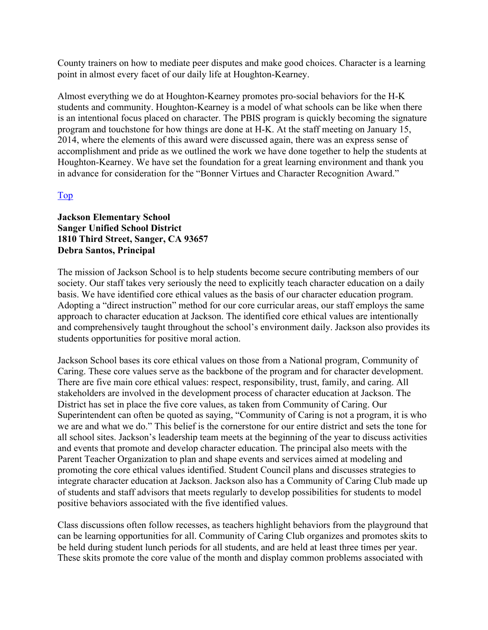County trainers on how to mediate peer disputes and make good choices. Character is a learning point in almost every facet of our daily life at Houghton-Kearney.

Almost everything we do at Houghton-Kearney promotes pro-social behaviors for the H-K students and community. Houghton-Kearney is a model of what schools can be like when there is an intentional focus placed on character. The PBIS program is quickly becoming the signature program and touchstone for how things are done at H-K. At the staff meeting on January 15, 2014, where the elements of this award were discussed again, there was an express sense of accomplishment and pride as we outlined the work we have done together to help the students at Houghton-Kearney. We have set the foundation for a great learning environment and thank you in advance for consideration for the "Bonner Virtues and Character Recognition Award."

#### Top

**Jackson Elementary School Sanger Unified School District 1810 Third Street, Sanger, CA 93657 Debra Santos, Principal** 

The mission of Jackson School is to help students become secure contributing members of our society. Our staff takes very seriously the need to explicitly teach character education on a daily basis. We have identified core ethical values as the basis of our character education program. Adopting a "direct instruction" method for our core curricular areas, our staff employs the same approach to character education at Jackson. The identified core ethical values are intentionally and comprehensively taught throughout the school's environment daily. Jackson also provides its students opportunities for positive moral action.

Jackson School bases its core ethical values on those from a National program, Community of Caring. These core values serve as the backbone of the program and for character development. There are five main core ethical values: respect, responsibility, trust, family, and caring. All stakeholders are involved in the development process of character education at Jackson. The District has set in place the five core values, as taken from Community of Caring. Our Superintendent can often be quoted as saying, "Community of Caring is not a program, it is who we are and what we do." This belief is the cornerstone for our entire district and sets the tone for all school sites. Jackson's leadership team meets at the beginning of the year to discuss activities and events that promote and develop character education. The principal also meets with the Parent Teacher Organization to plan and shape events and services aimed at modeling and promoting the core ethical values identified. Student Council plans and discusses strategies to integrate character education at Jackson. Jackson also has a Community of Caring Club made up of students and staff advisors that meets regularly to develop possibilities for students to model positive behaviors associated with the five identified values.

Class discussions often follow recesses, as teachers highlight behaviors from the playground that can be learning opportunities for all. Community of Caring Club organizes and promotes skits to be held during student lunch periods for all students, and are held at least three times per year. These skits promote the core value of the month and display common problems associated with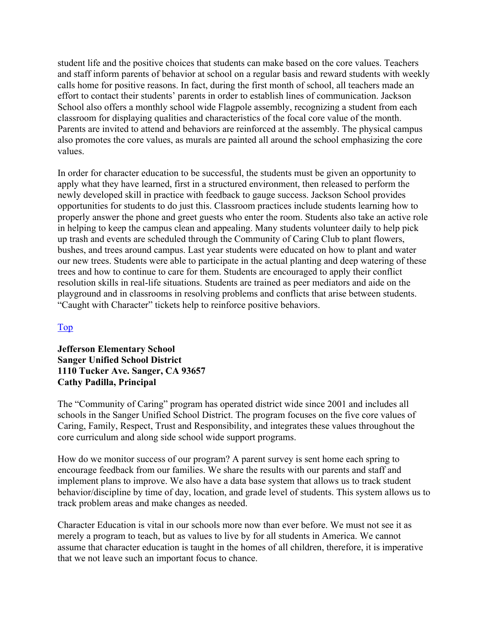student life and the positive choices that students can make based on the core values. Teachers and staff inform parents of behavior at school on a regular basis and reward students with weekly calls home for positive reasons. In fact, during the first month of school, all teachers made an effort to contact their students' parents in order to establish lines of communication. Jackson School also offers a monthly school wide Flagpole assembly, recognizing a student from each classroom for displaying qualities and characteristics of the focal core value of the month. Parents are invited to attend and behaviors are reinforced at the assembly. The physical campus also promotes the core values, as murals are painted all around the school emphasizing the core values.

In order for character education to be successful, the students must be given an opportunity to apply what they have learned, first in a structured environment, then released to perform the newly developed skill in practice with feedback to gauge success. Jackson School provides opportunities for students to do just this. Classroom practices include students learning how to properly answer the phone and greet guests who enter the room. Students also take an active role in helping to keep the campus clean and appealing. Many students volunteer daily to help pick up trash and events are scheduled through the Community of Caring Club to plant flowers, bushes, and trees around campus. Last year students were educated on how to plant and water our new trees. Students were able to participate in the actual planting and deep watering of these trees and how to continue to care for them. Students are encouraged to apply their conflict resolution skills in real-life situations. Students are trained as peer mediators and aide on the playground and in classrooms in resolving problems and conflicts that arise between students. "Caught with Character" tickets help to reinforce positive behaviors.

#### Top

#### **Jefferson Elementary School Sanger Unified School District 1110 Tucker Ave. Sanger, CA 93657 Cathy Padilla, Principal**

The "Community of Caring" program has operated district wide since 2001 and includes all schools in the Sanger Unified School District. The program focuses on the five core values of Caring, Family, Respect, Trust and Responsibility, and integrates these values throughout the core curriculum and along side school wide support programs.

How do we monitor success of our program? A parent survey is sent home each spring to encourage feedback from our families. We share the results with our parents and staff and implement plans to improve. We also have a data base system that allows us to track student behavior/discipline by time of day, location, and grade level of students. This system allows us to track problem areas and make changes as needed.

Character Education is vital in our schools more now than ever before. We must not see it as merely a program to teach, but as values to live by for all students in America. We cannot assume that character education is taught in the homes of all children, therefore, it is imperative that we not leave such an important focus to chance.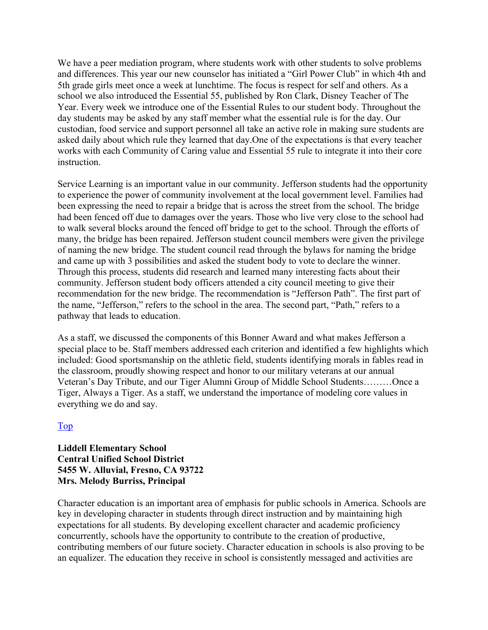We have a peer mediation program, where students work with other students to solve problems and differences. This year our new counselor has initiated a "Girl Power Club" in which 4th and 5th grade girls meet once a week at lunchtime. The focus is respect for self and others. As a school we also introduced the Essential 55, published by Ron Clark, Disney Teacher of The Year. Every week we introduce one of the Essential Rules to our student body. Throughout the day students may be asked by any staff member what the essential rule is for the day. Our custodian, food service and support personnel all take an active role in making sure students are asked daily about which rule they learned that day.One of the expectations is that every teacher works with each Community of Caring value and Essential 55 rule to integrate it into their core instruction.

Service Learning is an important value in our community. Jefferson students had the opportunity to experience the power of community involvement at the local government level. Families had been expressing the need to repair a bridge that is across the street from the school. The bridge had been fenced off due to damages over the years. Those who live very close to the school had to walk several blocks around the fenced off bridge to get to the school. Through the efforts of many, the bridge has been repaired. Jefferson student council members were given the privilege of naming the new bridge. The student council read through the bylaws for naming the bridge and came up with 3 possibilities and asked the student body to vote to declare the winner. Through this process, students did research and learned many interesting facts about their community. Jefferson student body officers attended a city council meeting to give their recommendation for the new bridge. The recommendation is "Jefferson Path". The first part of the name, "Jefferson," refers to the school in the area. The second part, "Path," refers to a pathway that leads to education.

As a staff, we discussed the components of this Bonner Award and what makes Jefferson a special place to be. Staff members addressed each criterion and identified a few highlights which included: Good sportsmanship on the athletic field, students identifying morals in fables read in the classroom, proudly showing respect and honor to our military veterans at our annual Veteran's Day Tribute, and our Tiger Alumni Group of Middle School Students………Once a Tiger, Always a Tiger. As a staff, we understand the importance of modeling core values in everything we do and say.

#### Top

#### **Liddell Elementary School Central Unified School District 5455 W. Alluvial, Fresno, CA 93722 Mrs. Melody Burriss, Principal**

Character education is an important area of emphasis for public schools in America. Schools are key in developing character in students through direct instruction and by maintaining high expectations for all students. By developing excellent character and academic proficiency concurrently, schools have the opportunity to contribute to the creation of productive, contributing members of our future society. Character education in schools is also proving to be an equalizer. The education they receive in school is consistently messaged and activities are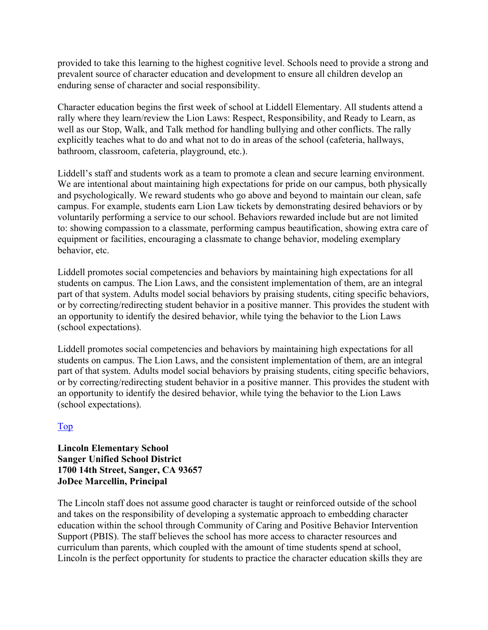provided to take this learning to the highest cognitive level. Schools need to provide a strong and prevalent source of character education and development to ensure all children develop an enduring sense of character and social responsibility.

Character education begins the first week of school at Liddell Elementary. All students attend a rally where they learn/review the Lion Laws: Respect, Responsibility, and Ready to Learn, as well as our Stop, Walk, and Talk method for handling bullying and other conflicts. The rally explicitly teaches what to do and what not to do in areas of the school (cafeteria, hallways, bathroom, classroom, cafeteria, playground, etc.).

Liddell's staff and students work as a team to promote a clean and secure learning environment. We are intentional about maintaining high expectations for pride on our campus, both physically and psychologically. We reward students who go above and beyond to maintain our clean, safe campus. For example, students earn Lion Law tickets by demonstrating desired behaviors or by voluntarily performing a service to our school. Behaviors rewarded include but are not limited to: showing compassion to a classmate, performing campus beautification, showing extra care of equipment or facilities, encouraging a classmate to change behavior, modeling exemplary behavior, etc.

Liddell promotes social competencies and behaviors by maintaining high expectations for all students on campus. The Lion Laws, and the consistent implementation of them, are an integral part of that system. Adults model social behaviors by praising students, citing specific behaviors, or by correcting/redirecting student behavior in a positive manner. This provides the student with an opportunity to identify the desired behavior, while tying the behavior to the Lion Laws (school expectations).

Liddell promotes social competencies and behaviors by maintaining high expectations for all students on campus. The Lion Laws, and the consistent implementation of them, are an integral part of that system. Adults model social behaviors by praising students, citing specific behaviors, or by correcting/redirecting student behavior in a positive manner. This provides the student with an opportunity to identify the desired behavior, while tying the behavior to the Lion Laws (school expectations).

#### Top

#### **Lincoln Elementary School Sanger Unified School District 1700 14th Street, Sanger, CA 93657 JoDee Marcellin, Principal**

The Lincoln staff does not assume good character is taught or reinforced outside of the school and takes on the responsibility of developing a systematic approach to embedding character education within the school through Community of Caring and Positive Behavior Intervention Support (PBIS). The staff believes the school has more access to character resources and curriculum than parents, which coupled with the amount of time students spend at school, Lincoln is the perfect opportunity for students to practice the character education skills they are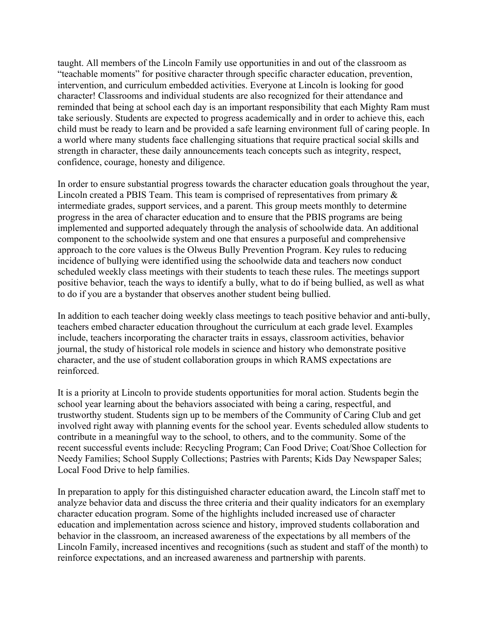taught. All members of the Lincoln Family use opportunities in and out of the classroom as "teachable moments" for positive character through specific character education, prevention, intervention, and curriculum embedded activities. Everyone at Lincoln is looking for good character! Classrooms and individual students are also recognized for their attendance and reminded that being at school each day is an important responsibility that each Mighty Ram must take seriously. Students are expected to progress academically and in order to achieve this, each child must be ready to learn and be provided a safe learning environment full of caring people. In a world where many students face challenging situations that require practical social skills and strength in character, these daily announcements teach concepts such as integrity, respect, confidence, courage, honesty and diligence.

In order to ensure substantial progress towards the character education goals throughout the year, Lincoln created a PBIS Team. This team is comprised of representatives from primary & intermediate grades, support services, and a parent. This group meets monthly to determine progress in the area of character education and to ensure that the PBIS programs are being implemented and supported adequately through the analysis of schoolwide data. An additional component to the schoolwide system and one that ensures a purposeful and comprehensive approach to the core values is the Olweus Bully Prevention Program. Key rules to reducing incidence of bullying were identified using the schoolwide data and teachers now conduct scheduled weekly class meetings with their students to teach these rules. The meetings support positive behavior, teach the ways to identify a bully, what to do if being bullied, as well as what to do if you are a bystander that observes another student being bullied.

In addition to each teacher doing weekly class meetings to teach positive behavior and anti-bully, teachers embed character education throughout the curriculum at each grade level. Examples include, teachers incorporating the character traits in essays, classroom activities, behavior journal, the study of historical role models in science and history who demonstrate positive character, and the use of student collaboration groups in which RAMS expectations are reinforced.

It is a priority at Lincoln to provide students opportunities for moral action. Students begin the school year learning about the behaviors associated with being a caring, respectful, and trustworthy student. Students sign up to be members of the Community of Caring Club and get involved right away with planning events for the school year. Events scheduled allow students to contribute in a meaningful way to the school, to others, and to the community. Some of the recent successful events include: Recycling Program; Can Food Drive; Coat/Shoe Collection for Needy Families; School Supply Collections; Pastries with Parents; Kids Day Newspaper Sales; Local Food Drive to help families.

In preparation to apply for this distinguished character education award, the Lincoln staff met to analyze behavior data and discuss the three criteria and their quality indicators for an exemplary character education program. Some of the highlights included increased use of character education and implementation across science and history, improved students collaboration and behavior in the classroom, an increased awareness of the expectations by all members of the Lincoln Family, increased incentives and recognitions (such as student and staff of the month) to reinforce expectations, and an increased awareness and partnership with parents.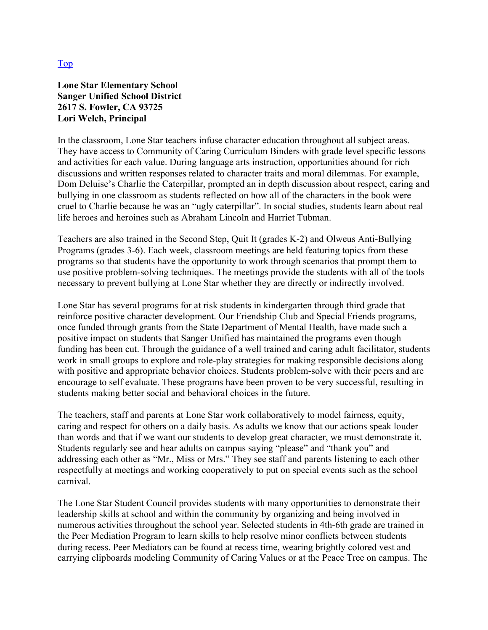#### **Lone Star Elementary School Sanger Unified School District 2617 S. Fowler, CA 93725 Lori Welch, Principal**

In the classroom, Lone Star teachers infuse character education throughout all subject areas. They have access to Community of Caring Curriculum Binders with grade level specific lessons and activities for each value. During language arts instruction, opportunities abound for rich discussions and written responses related to character traits and moral dilemmas. For example, Dom Deluise's Charlie the Caterpillar, prompted an in depth discussion about respect, caring and bullying in one classroom as students reflected on how all of the characters in the book were cruel to Charlie because he was an "ugly caterpillar". In social studies, students learn about real life heroes and heroines such as Abraham Lincoln and Harriet Tubman.

Teachers are also trained in the Second Step, Quit It (grades K-2) and Olweus Anti-Bullying Programs (grades 3-6). Each week, classroom meetings are held featuring topics from these programs so that students have the opportunity to work through scenarios that prompt them to use positive problem-solving techniques. The meetings provide the students with all of the tools necessary to prevent bullying at Lone Star whether they are directly or indirectly involved.

Lone Star has several programs for at risk students in kindergarten through third grade that reinforce positive character development. Our Friendship Club and Special Friends programs, once funded through grants from the State Department of Mental Health, have made such a positive impact on students that Sanger Unified has maintained the programs even though funding has been cut. Through the guidance of a well trained and caring adult facilitator, students work in small groups to explore and role-play strategies for making responsible decisions along with positive and appropriate behavior choices. Students problem-solve with their peers and are encourage to self evaluate. These programs have been proven to be very successful, resulting in students making better social and behavioral choices in the future.

The teachers, staff and parents at Lone Star work collaboratively to model fairness, equity, caring and respect for others on a daily basis. As adults we know that our actions speak louder than words and that if we want our students to develop great character, we must demonstrate it. Students regularly see and hear adults on campus saying "please" and "thank you" and addressing each other as "Mr., Miss or Mrs." They see staff and parents listening to each other respectfully at meetings and working cooperatively to put on special events such as the school carnival.

The Lone Star Student Council provides students with many opportunities to demonstrate their leadership skills at school and within the community by organizing and being involved in numerous activities throughout the school year. Selected students in 4th-6th grade are trained in the Peer Mediation Program to learn skills to help resolve minor conflicts between students during recess. Peer Mediators can be found at recess time, wearing brightly colored vest and carrying clipboards modeling Community of Caring Values or at the Peace Tree on campus. The

#### Top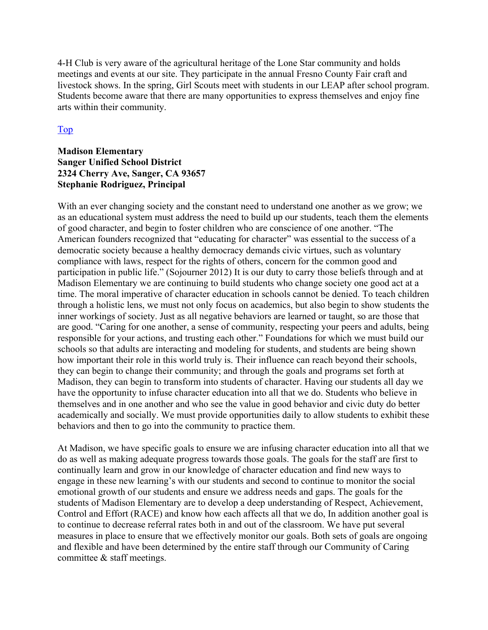4-H Club is very aware of the agricultural heritage of the Lone Star community and holds meetings and events at our site. They participate in the annual Fresno County Fair craft and livestock shows. In the spring, Girl Scouts meet with students in our LEAP after school program. Students become aware that there are many opportunities to express themselves and enjoy fine arts within their community.

#### Top

#### **Madison Elementary Sanger Unified School District 2324 Cherry Ave, Sanger, CA 93657 Stephanie Rodriguez, Principal**

With an ever changing society and the constant need to understand one another as we grow; we as an educational system must address the need to build up our students, teach them the elements of good character, and begin to foster children who are conscience of one another. "The American founders recognized that "educating for character" was essential to the success of a democratic society because a healthy democracy demands civic virtues, such as voluntary compliance with laws, respect for the rights of others, concern for the common good and participation in public life." (Sojourner 2012) It is our duty to carry those beliefs through and at Madison Elementary we are continuing to build students who change society one good act at a time. The moral imperative of character education in schools cannot be denied. To teach children through a holistic lens, we must not only focus on academics, but also begin to show students the inner workings of society. Just as all negative behaviors are learned or taught, so are those that are good. "Caring for one another, a sense of community, respecting your peers and adults, being responsible for your actions, and trusting each other." Foundations for which we must build our schools so that adults are interacting and modeling for students, and students are being shown how important their role in this world truly is. Their influence can reach beyond their schools, they can begin to change their community; and through the goals and programs set forth at Madison, they can begin to transform into students of character. Having our students all day we have the opportunity to infuse character education into all that we do. Students who believe in themselves and in one another and who see the value in good behavior and civic duty do better academically and socially. We must provide opportunities daily to allow students to exhibit these behaviors and then to go into the community to practice them.

At Madison, we have specific goals to ensure we are infusing character education into all that we do as well as making adequate progress towards those goals. The goals for the staff are first to continually learn and grow in our knowledge of character education and find new ways to engage in these new learning's with our students and second to continue to monitor the social emotional growth of our students and ensure we address needs and gaps. The goals for the students of Madison Elementary are to develop a deep understanding of Respect, Achievement, Control and Effort (RACE) and know how each affects all that we do, In addition another goal is to continue to decrease referral rates both in and out of the classroom. We have put several measures in place to ensure that we effectively monitor our goals. Both sets of goals are ongoing and flexible and have been determined by the entire staff through our Community of Caring committee & staff meetings.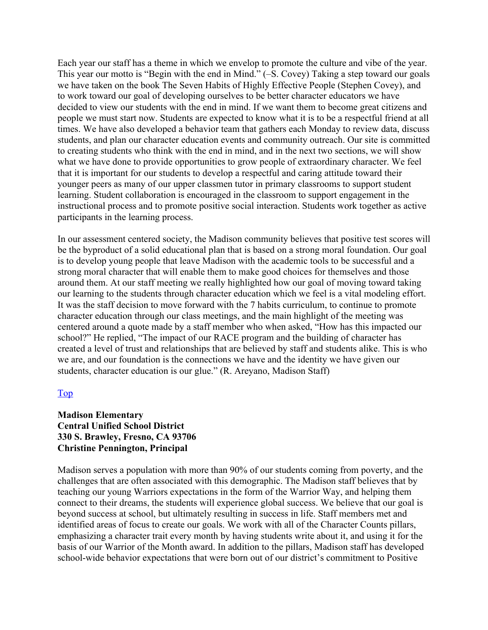Each year our staff has a theme in which we envelop to promote the culture and vibe of the year. This year our motto is "Begin with the end in Mind." (–S. Covey) Taking a step toward our goals we have taken on the book The Seven Habits of Highly Effective People (Stephen Covey), and to work toward our goal of developing ourselves to be better character educators we have decided to view our students with the end in mind. If we want them to become great citizens and people we must start now. Students are expected to know what it is to be a respectful friend at all times. We have also developed a behavior team that gathers each Monday to review data, discuss students, and plan our character education events and community outreach. Our site is committed to creating students who think with the end in mind, and in the next two sections, we will show what we have done to provide opportunities to grow people of extraordinary character. We feel that it is important for our students to develop a respectful and caring attitude toward their younger peers as many of our upper classmen tutor in primary classrooms to support student learning. Student collaboration is encouraged in the classroom to support engagement in the instructional process and to promote positive social interaction. Students work together as active participants in the learning process.

In our assessment centered society, the Madison community believes that positive test scores will be the byproduct of a solid educational plan that is based on a strong moral foundation. Our goal is to develop young people that leave Madison with the academic tools to be successful and a strong moral character that will enable them to make good choices for themselves and those around them. At our staff meeting we really highlighted how our goal of moving toward taking our learning to the students through character education which we feel is a vital modeling effort. It was the staff decision to move forward with the 7 habits curriculum, to continue to promote character education through our class meetings, and the main highlight of the meeting was centered around a quote made by a staff member who when asked, "How has this impacted our school?" He replied, "The impact of our RACE program and the building of character has created a level of trust and relationships that are believed by staff and students alike. This is who we are, and our foundation is the connections we have and the identity we have given our students, character education is our glue." (R. Areyano, Madison Staff)

#### Top

#### **Madison Elementary Central Unified School District 330 S. Brawley, Fresno, CA 93706 Christine Pennington, Principal**

Madison serves a population with more than 90% of our students coming from poverty, and the challenges that are often associated with this demographic. The Madison staff believes that by teaching our young Warriors expectations in the form of the Warrior Way, and helping them connect to their dreams, the students will experience global success. We believe that our goal is beyond success at school, but ultimately resulting in success in life. Staff members met and identified areas of focus to create our goals. We work with all of the Character Counts pillars, emphasizing a character trait every month by having students write about it, and using it for the basis of our Warrior of the Month award. In addition to the pillars, Madison staff has developed school-wide behavior expectations that were born out of our district's commitment to Positive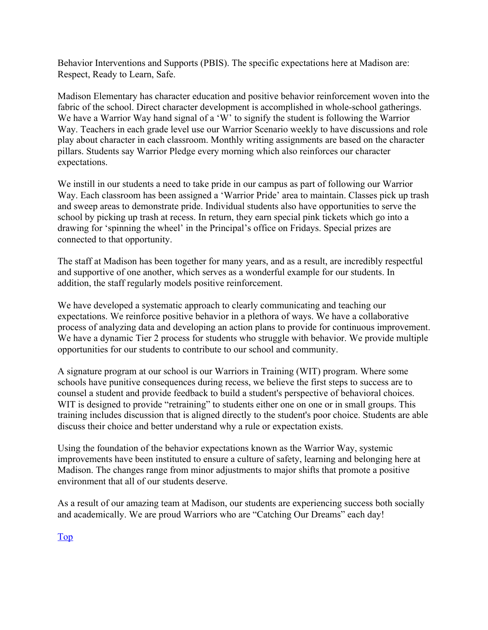Behavior Interventions and Supports (PBIS). The specific expectations here at Madison are: Respect, Ready to Learn, Safe.

Madison Elementary has character education and positive behavior reinforcement woven into the fabric of the school. Direct character development is accomplished in whole-school gatherings. We have a Warrior Way hand signal of a 'W' to signify the student is following the Warrior Way. Teachers in each grade level use our Warrior Scenario weekly to have discussions and role play about character in each classroom. Monthly writing assignments are based on the character pillars. Students say Warrior Pledge every morning which also reinforces our character expectations.

We instill in our students a need to take pride in our campus as part of following our Warrior Way. Each classroom has been assigned a 'Warrior Pride' area to maintain. Classes pick up trash and sweep areas to demonstrate pride. Individual students also have opportunities to serve the school by picking up trash at recess. In return, they earn special pink tickets which go into a drawing for 'spinning the wheel' in the Principal's office on Fridays. Special prizes are connected to that opportunity.

The staff at Madison has been together for many years, and as a result, are incredibly respectful and supportive of one another, which serves as a wonderful example for our students. In addition, the staff regularly models positive reinforcement.

We have developed a systematic approach to clearly communicating and teaching our expectations. We reinforce positive behavior in a plethora of ways. We have a collaborative process of analyzing data and developing an action plans to provide for continuous improvement. We have a dynamic Tier 2 process for students who struggle with behavior. We provide multiple opportunities for our students to contribute to our school and community.

A signature program at our school is our Warriors in Training (WIT) program. Where some schools have punitive consequences during recess, we believe the first steps to success are to counsel a student and provide feedback to build a student's perspective of behavioral choices. WIT is designed to provide "retraining" to students either one on one or in small groups. This training includes discussion that is aligned directly to the student's poor choice. Students are able discuss their choice and better understand why a rule or expectation exists.

Using the foundation of the behavior expectations known as the Warrior Way, systemic improvements have been instituted to ensure a culture of safety, learning and belonging here at Madison. The changes range from minor adjustments to major shifts that promote a positive environment that all of our students deserve.

As a result of our amazing team at Madison, our students are experiencing success both socially and academically. We are proud Warriors who are "Catching Our Dreams" each day!

Top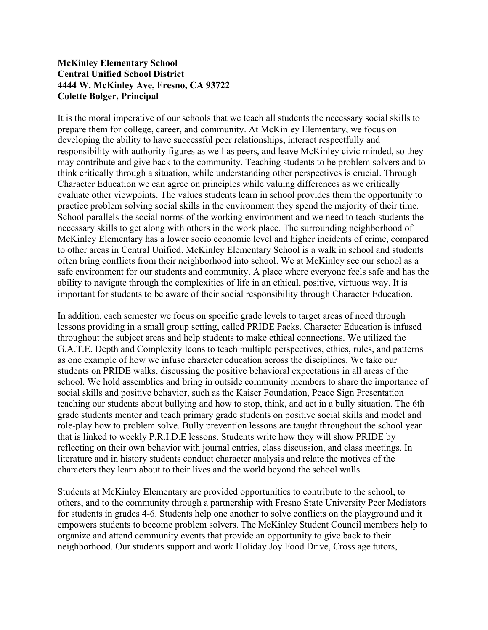#### **McKinley Elementary School Central Unified School District 4444 W. McKinley Ave, Fresno, CA 93722 Colette Bolger, Principal**

It is the moral imperative of our schools that we teach all students the necessary social skills to prepare them for college, career, and community. At McKinley Elementary, we focus on developing the ability to have successful peer relationships, interact respectfully and responsibility with authority figures as well as peers, and leave McKinley civic minded, so they may contribute and give back to the community. Teaching students to be problem solvers and to think critically through a situation, while understanding other perspectives is crucial. Through Character Education we can agree on principles while valuing differences as we critically evaluate other viewpoints. The values students learn in school provides them the opportunity to practice problem solving social skills in the environment they spend the majority of their time. School parallels the social norms of the working environment and we need to teach students the necessary skills to get along with others in the work place. The surrounding neighborhood of McKinley Elementary has a lower socio economic level and higher incidents of crime, compared to other areas in Central Unified. McKinley Elementary School is a walk in school and students often bring conflicts from their neighborhood into school. We at McKinley see our school as a safe environment for our students and community. A place where everyone feels safe and has the ability to navigate through the complexities of life in an ethical, positive, virtuous way. It is important for students to be aware of their social responsibility through Character Education.

In addition, each semester we focus on specific grade levels to target areas of need through lessons providing in a small group setting, called PRIDE Packs. Character Education is infused throughout the subject areas and help students to make ethical connections. We utilized the G.A.T.E. Depth and Complexity Icons to teach multiple perspectives, ethics, rules, and patterns as one example of how we infuse character education across the disciplines. We take our students on PRIDE walks, discussing the positive behavioral expectations in all areas of the school. We hold assemblies and bring in outside community members to share the importance of social skills and positive behavior, such as the Kaiser Foundation, Peace Sign Presentation teaching our students about bullying and how to stop, think, and act in a bully situation. The 6th grade students mentor and teach primary grade students on positive social skills and model and role-play how to problem solve. Bully prevention lessons are taught throughout the school year that is linked to weekly P.R.I.D.E lessons. Students write how they will show PRIDE by reflecting on their own behavior with journal entries, class discussion, and class meetings. In literature and in history students conduct character analysis and relate the motives of the characters they learn about to their lives and the world beyond the school walls.

Students at McKinley Elementary are provided opportunities to contribute to the school, to others, and to the community through a partnership with Fresno State University Peer Mediators for students in grades 4-6. Students help one another to solve conflicts on the playground and it empowers students to become problem solvers. The McKinley Student Council members help to organize and attend community events that provide an opportunity to give back to their neighborhood. Our students support and work Holiday Joy Food Drive, Cross age tutors,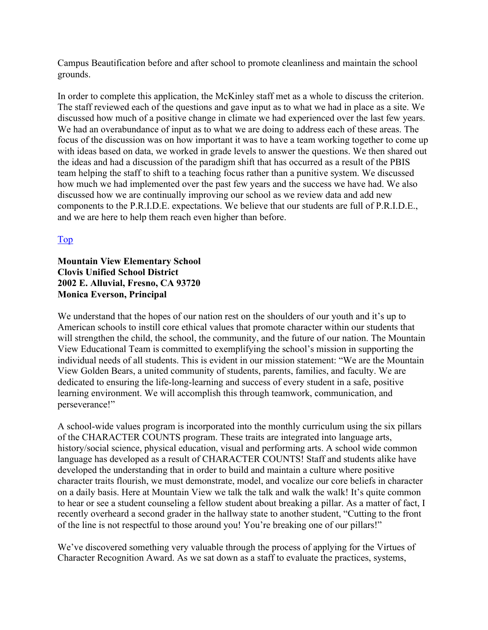Campus Beautification before and after school to promote cleanliness and maintain the school grounds.

In order to complete this application, the McKinley staff met as a whole to discuss the criterion. The staff reviewed each of the questions and gave input as to what we had in place as a site. We discussed how much of a positive change in climate we had experienced over the last few years. We had an overabundance of input as to what we are doing to address each of these areas. The focus of the discussion was on how important it was to have a team working together to come up with ideas based on data, we worked in grade levels to answer the questions. We then shared out the ideas and had a discussion of the paradigm shift that has occurred as a result of the PBIS team helping the staff to shift to a teaching focus rather than a punitive system. We discussed how much we had implemented over the past few years and the success we have had. We also discussed how we are continually improving our school as we review data and add new components to the P.R.I.D.E. expectations. We believe that our students are full of P.R.I.D.E., and we are here to help them reach even higher than before.

#### Top

#### **Mountain View Elementary School Clovis Unified School District 2002 E. Alluvial, Fresno, CA 93720 Monica Everson, Principal**

We understand that the hopes of our nation rest on the shoulders of our youth and it's up to American schools to instill core ethical values that promote character within our students that will strengthen the child, the school, the community, and the future of our nation. The Mountain View Educational Team is committed to exemplifying the school's mission in supporting the individual needs of all students. This is evident in our mission statement: "We are the Mountain View Golden Bears, a united community of students, parents, families, and faculty. We are dedicated to ensuring the life-long-learning and success of every student in a safe, positive learning environment. We will accomplish this through teamwork, communication, and perseverance!"

A school-wide values program is incorporated into the monthly curriculum using the six pillars of the CHARACTER COUNTS program. These traits are integrated into language arts, history/social science, physical education, visual and performing arts. A school wide common language has developed as a result of CHARACTER COUNTS! Staff and students alike have developed the understanding that in order to build and maintain a culture where positive character traits flourish, we must demonstrate, model, and vocalize our core beliefs in character on a daily basis. Here at Mountain View we talk the talk and walk the walk! It's quite common to hear or see a student counseling a fellow student about breaking a pillar. As a matter of fact, I recently overheard a second grader in the hallway state to another student, "Cutting to the front of the line is not respectful to those around you! You're breaking one of our pillars!"

We've discovered something very valuable through the process of applying for the Virtues of Character Recognition Award. As we sat down as a staff to evaluate the practices, systems,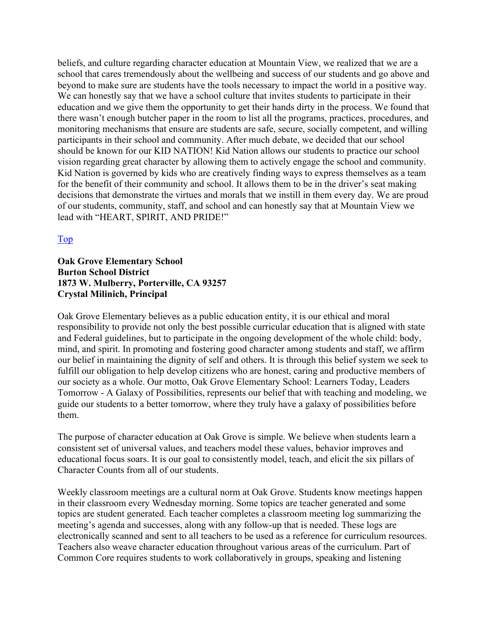beliefs, and culture regarding character education at Mountain View, we realized that we are a school that cares tremendously about the wellbeing and success of our students and go above and beyond to make sure are students have the tools necessary to impact the world in a positive way. We can honestly say that we have a school culture that invites students to participate in their education and we give them the opportunity to get their hands dirty in the process. We found that there wasn't enough butcher paper in the room to list all the programs, practices, procedures, and monitoring mechanisms that ensure are students are safe, secure, socially competent, and willing participants in their school and community. After much debate, we decided that our school should be known for our KID NATION! Kid Nation allows our students to practice our school vision regarding great character by allowing them to actively engage the school and community. Kid Nation is governed by kids who are creatively finding ways to express themselves as a team for the benefit of their community and school. It allows them to be in the driver's seat making decisions that demonstrate the virtues and morals that we instill in them every day. We are proud of our students, community, staff, and school and can honestly say that at Mountain View we lead with "HEART, SPIRIT, AND PRIDE!"

#### Top

#### **Oak Grove Elementary School Burton School District 1873 W. Mulberry, Porterville, CA 93257 Crystal Milinich, Principal**

Oak Grove Elementary believes as a public education entity, it is our ethical and moral responsibility to provide not only the best possible curricular education that is aligned with state and Federal guidelines, but to participate in the ongoing development of the whole child: body, mind, and spirit. In promoting and fostering good character among students and staff, we affirm our belief in maintaining the dignity of self and others. It is through this belief system we seek to fulfill our obligation to help develop citizens who are honest, caring and productive members of our society as a whole. Our motto, Oak Grove Elementary School: Learners Today, Leaders Tomorrow - A Galaxy of Possibilities, represents our belief that with teaching and modeling, we guide our students to a better tomorrow, where they truly have a galaxy of possibilities before them.

The purpose of character education at Oak Grove is simple. We believe when students learn a consistent set of universal values, and teachers model these values, behavior improves and educational focus soars. It is our goal to consistently model, teach, and elicit the six pillars of Character Counts from all of our students.

Weekly classroom meetings are a cultural norm at Oak Grove. Students know meetings happen in their classroom every Wednesday morning. Some topics are teacher generated and some topics are student generated. Each teacher completes a classroom meeting log summarizing the meeting's agenda and successes, along with any follow-up that is needed. These logs are electronically scanned and sent to all teachers to be used as a reference for curriculum resources. Teachers also weave character education throughout various areas of the curriculum. Part of Common Core requires students to work collaboratively in groups, speaking and listening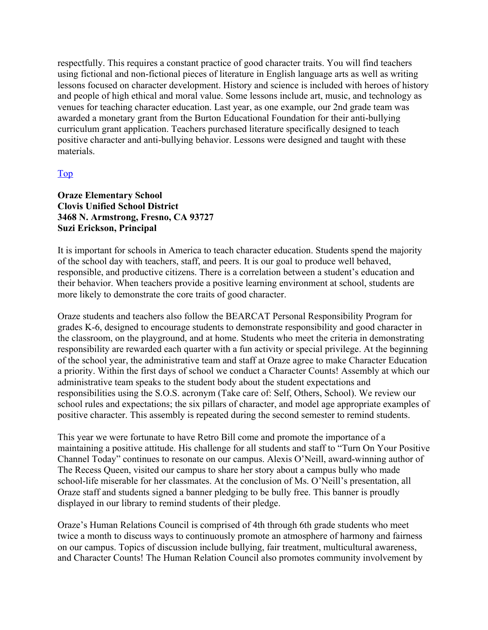respectfully. This requires a constant practice of good character traits. You will find teachers using fictional and non-fictional pieces of literature in English language arts as well as writing lessons focused on character development. History and science is included with heroes of history and people of high ethical and moral value. Some lessons include art, music, and technology as venues for teaching character education. Last year, as one example, our 2nd grade team was awarded a monetary grant from the Burton Educational Foundation for their anti-bullying curriculum grant application. Teachers purchased literature specifically designed to teach positive character and anti-bullying behavior. Lessons were designed and taught with these materials.

#### Top

#### **Oraze Elementary School Clovis Unified School District 3468 N. Armstrong, Fresno, CA 93727 Suzi Erickson, Principal**

It is important for schools in America to teach character education. Students spend the majority of the school day with teachers, staff, and peers. It is our goal to produce well behaved, responsible, and productive citizens. There is a correlation between a student's education and their behavior. When teachers provide a positive learning environment at school, students are more likely to demonstrate the core traits of good character.

Oraze students and teachers also follow the BEARCAT Personal Responsibility Program for grades K-6, designed to encourage students to demonstrate responsibility and good character in the classroom, on the playground, and at home. Students who meet the criteria in demonstrating responsibility are rewarded each quarter with a fun activity or special privilege. At the beginning of the school year, the administrative team and staff at Oraze agree to make Character Education a priority. Within the first days of school we conduct a Character Counts! Assembly at which our administrative team speaks to the student body about the student expectations and responsibilities using the S.O.S. acronym (Take care of: Self, Others, School). We review our school rules and expectations; the six pillars of character, and model age appropriate examples of positive character. This assembly is repeated during the second semester to remind students.

This year we were fortunate to have Retro Bill come and promote the importance of a maintaining a positive attitude. His challenge for all students and staff to "Turn On Your Positive Channel Today" continues to resonate on our campus. Alexis O'Neill, award-winning author of The Recess Queen, visited our campus to share her story about a campus bully who made school-life miserable for her classmates. At the conclusion of Ms. O'Neill's presentation, all Oraze staff and students signed a banner pledging to be bully free. This banner is proudly displayed in our library to remind students of their pledge.

Oraze's Human Relations Council is comprised of 4th through 6th grade students who meet twice a month to discuss ways to continuously promote an atmosphere of harmony and fairness on our campus. Topics of discussion include bullying, fair treatment, multicultural awareness, and Character Counts! The Human Relation Council also promotes community involvement by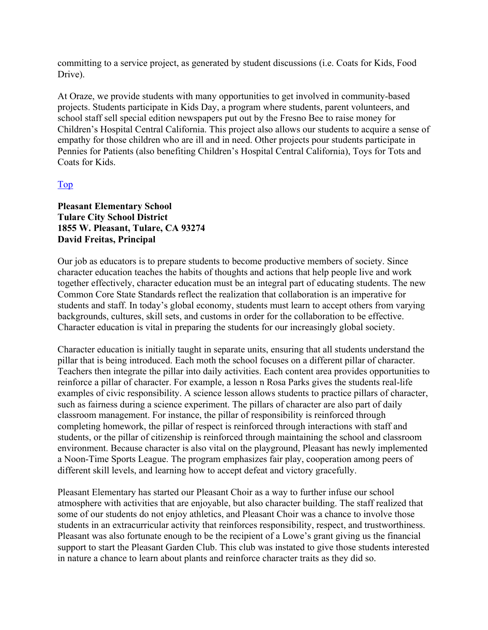committing to a service project, as generated by student discussions (i.e. Coats for Kids, Food Drive).

At Oraze, we provide students with many opportunities to get involved in community-based projects. Students participate in Kids Day, a program where students, parent volunteers, and school staff sell special edition newspapers put out by the Fresno Bee to raise money for Children's Hospital Central California. This project also allows our students to acquire a sense of empathy for those children who are ill and in need. Other projects pour students participate in Pennies for Patients (also benefiting Children's Hospital Central California), Toys for Tots and Coats for Kids.

#### Top

#### **Pleasant Elementary School Tulare City School District 1855 W. Pleasant, Tulare, CA 93274 David Freitas, Principal**

Our job as educators is to prepare students to become productive members of society. Since character education teaches the habits of thoughts and actions that help people live and work together effectively, character education must be an integral part of educating students. The new Common Core State Standards reflect the realization that collaboration is an imperative for students and staff. In today's global economy, students must learn to accept others from varying backgrounds, cultures, skill sets, and customs in order for the collaboration to be effective. Character education is vital in preparing the students for our increasingly global society.

Character education is initially taught in separate units, ensuring that all students understand the pillar that is being introduced. Each moth the school focuses on a different pillar of character. Teachers then integrate the pillar into daily activities. Each content area provides opportunities to reinforce a pillar of character. For example, a lesson n Rosa Parks gives the students real-life examples of civic responsibility. A science lesson allows students to practice pillars of character, such as fairness during a science experiment. The pillars of character are also part of daily classroom management. For instance, the pillar of responsibility is reinforced through completing homework, the pillar of respect is reinforced through interactions with staff and students, or the pillar of citizenship is reinforced through maintaining the school and classroom environment. Because character is also vital on the playground, Pleasant has newly implemented a Noon-Time Sports League. The program emphasizes fair play, cooperation among peers of different skill levels, and learning how to accept defeat and victory gracefully.

Pleasant Elementary has started our Pleasant Choir as a way to further infuse our school atmosphere with activities that are enjoyable, but also character building. The staff realized that some of our students do not enjoy athletics, and Pleasant Choir was a chance to involve those students in an extracurricular activity that reinforces responsibility, respect, and trustworthiness. Pleasant was also fortunate enough to be the recipient of a Lowe's grant giving us the financial support to start the Pleasant Garden Club. This club was instated to give those students interested in nature a chance to learn about plants and reinforce character traits as they did so.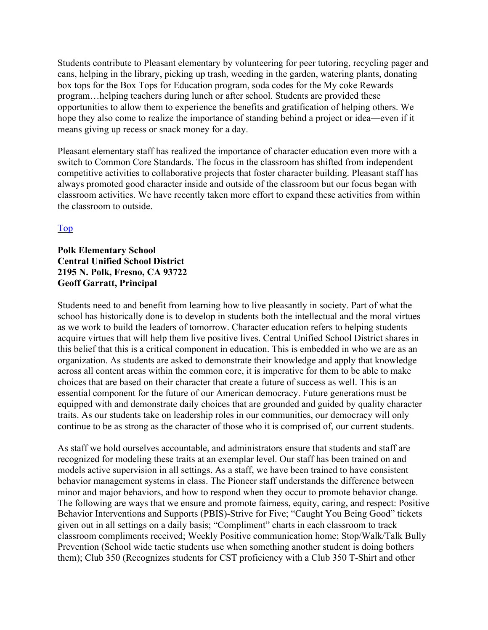Students contribute to Pleasant elementary by volunteering for peer tutoring, recycling pager and cans, helping in the library, picking up trash, weeding in the garden, watering plants, donating box tops for the Box Tops for Education program, soda codes for the My coke Rewards program…helping teachers during lunch or after school. Students are provided these opportunities to allow them to experience the benefits and gratification of helping others. We hope they also come to realize the importance of standing behind a project or idea—even if it means giving up recess or snack money for a day.

Pleasant elementary staff has realized the importance of character education even more with a switch to Common Core Standards. The focus in the classroom has shifted from independent competitive activities to collaborative projects that foster character building. Pleasant staff has always promoted good character inside and outside of the classroom but our focus began with classroom activities. We have recently taken more effort to expand these activities from within the classroom to outside.

#### Top

#### **Polk Elementary School Central Unified School District 2195 N. Polk, Fresno, CA 93722 Geoff Garratt, Principal**

Students need to and benefit from learning how to live pleasantly in society. Part of what the school has historically done is to develop in students both the intellectual and the moral virtues as we work to build the leaders of tomorrow. Character education refers to helping students acquire virtues that will help them live positive lives. Central Unified School District shares in this belief that this is a critical component in education. This is embedded in who we are as an organization. As students are asked to demonstrate their knowledge and apply that knowledge across all content areas within the common core, it is imperative for them to be able to make choices that are based on their character that create a future of success as well. This is an essential component for the future of our American democracy. Future generations must be equipped with and demonstrate daily choices that are grounded and guided by quality character traits. As our students take on leadership roles in our communities, our democracy will only continue to be as strong as the character of those who it is comprised of, our current students.

As staff we hold ourselves accountable, and administrators ensure that students and staff are recognized for modeling these traits at an exemplar level. Our staff has been trained on and models active supervision in all settings. As a staff, we have been trained to have consistent behavior management systems in class. The Pioneer staff understands the difference between minor and major behaviors, and how to respond when they occur to promote behavior change. The following are ways that we ensure and promote fairness, equity, caring, and respect: Positive Behavior Interventions and Supports (PBIS)-Strive for Five; "Caught You Being Good" tickets given out in all settings on a daily basis; "Compliment" charts in each classroom to track classroom compliments received; Weekly Positive communication home; Stop/Walk/Talk Bully Prevention (School wide tactic students use when something another student is doing bothers them); Club 350 (Recognizes students for CST proficiency with a Club 350 T-Shirt and other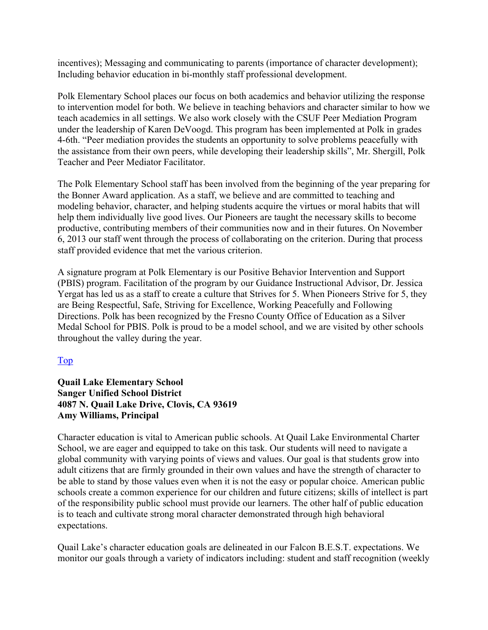incentives); Messaging and communicating to parents (importance of character development); Including behavior education in bi-monthly staff professional development.

Polk Elementary School places our focus on both academics and behavior utilizing the response to intervention model for both. We believe in teaching behaviors and character similar to how we teach academics in all settings. We also work closely with the CSUF Peer Mediation Program under the leadership of Karen DeVoogd. This program has been implemented at Polk in grades 4-6th. "Peer mediation provides the students an opportunity to solve problems peacefully with the assistance from their own peers, while developing their leadership skills", Mr. Shergill, Polk Teacher and Peer Mediator Facilitator.

The Polk Elementary School staff has been involved from the beginning of the year preparing for the Bonner Award application. As a staff, we believe and are committed to teaching and modeling behavior, character, and helping students acquire the virtues or moral habits that will help them individually live good lives. Our Pioneers are taught the necessary skills to become productive, contributing members of their communities now and in their futures. On November 6, 2013 our staff went through the process of collaborating on the criterion. During that process staff provided evidence that met the various criterion.

A signature program at Polk Elementary is our Positive Behavior Intervention and Support (PBIS) program. Facilitation of the program by our Guidance Instructional Advisor, Dr. Jessica Yergat has led us as a staff to create a culture that Strives for 5. When Pioneers Strive for 5, they are Being Respectful, Safe, Striving for Excellence, Working Peacefully and Following Directions. Polk has been recognized by the Fresno County Office of Education as a Silver Medal School for PBIS. Polk is proud to be a model school, and we are visited by other schools throughout the valley during the year.

#### Top

#### **Quail Lake Elementary School Sanger Unified School District 4087 N. Quail Lake Drive, Clovis, CA 93619 Amy Williams, Principal**

Character education is vital to American public schools. At Quail Lake Environmental Charter School, we are eager and equipped to take on this task. Our students will need to navigate a global community with varying points of views and values. Our goal is that students grow into adult citizens that are firmly grounded in their own values and have the strength of character to be able to stand by those values even when it is not the easy or popular choice. American public schools create a common experience for our children and future citizens; skills of intellect is part of the responsibility public school must provide our learners. The other half of public education is to teach and cultivate strong moral character demonstrated through high behavioral expectations.

Quail Lake's character education goals are delineated in our Falcon B.E.S.T. expectations. We monitor our goals through a variety of indicators including: student and staff recognition (weekly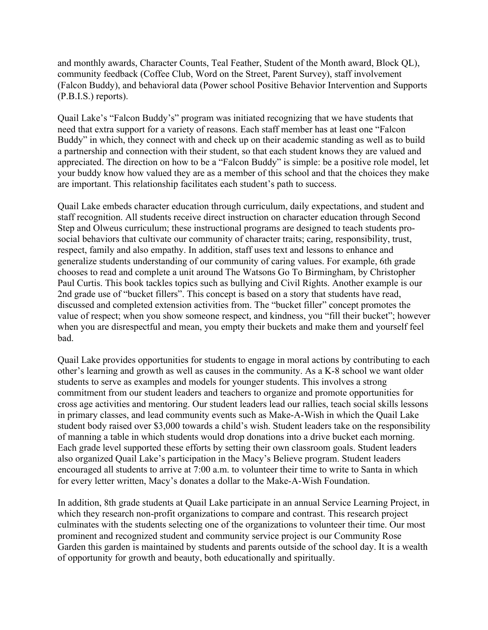and monthly awards, Character Counts, Teal Feather, Student of the Month award, Block QL), community feedback (Coffee Club, Word on the Street, Parent Survey), staff involvement (Falcon Buddy), and behavioral data (Power school Positive Behavior Intervention and Supports (P.B.I.S.) reports).

Quail Lake's "Falcon Buddy's" program was initiated recognizing that we have students that need that extra support for a variety of reasons. Each staff member has at least one "Falcon Buddy" in which, they connect with and check up on their academic standing as well as to build a partnership and connection with their student, so that each student knows they are valued and appreciated. The direction on how to be a "Falcon Buddy" is simple: be a positive role model, let your buddy know how valued they are as a member of this school and that the choices they make are important. This relationship facilitates each student's path to success.

Quail Lake embeds character education through curriculum, daily expectations, and student and staff recognition. All students receive direct instruction on character education through Second Step and Olweus curriculum; these instructional programs are designed to teach students prosocial behaviors that cultivate our community of character traits; caring, responsibility, trust, respect, family and also empathy. In addition, staff uses text and lessons to enhance and generalize students understanding of our community of caring values. For example, 6th grade chooses to read and complete a unit around The Watsons Go To Birmingham, by Christopher Paul Curtis. This book tackles topics such as bullying and Civil Rights. Another example is our 2nd grade use of "bucket fillers". This concept is based on a story that students have read, discussed and completed extension activities from. The "bucket filler" concept promotes the value of respect; when you show someone respect, and kindness, you "fill their bucket"; however when you are disrespectful and mean, you empty their buckets and make them and yourself feel bad.

Quail Lake provides opportunities for students to engage in moral actions by contributing to each other's learning and growth as well as causes in the community. As a K-8 school we want older students to serve as examples and models for younger students. This involves a strong commitment from our student leaders and teachers to organize and promote opportunities for cross age activities and mentoring. Our student leaders lead our rallies, teach social skills lessons in primary classes, and lead community events such as Make-A-Wish in which the Quail Lake student body raised over \$3,000 towards a child's wish. Student leaders take on the responsibility of manning a table in which students would drop donations into a drive bucket each morning. Each grade level supported these efforts by setting their own classroom goals. Student leaders also organized Quail Lake's participation in the Macy's Believe program. Student leaders encouraged all students to arrive at 7:00 a.m. to volunteer their time to write to Santa in which for every letter written, Macy's donates a dollar to the Make-A-Wish Foundation.

In addition, 8th grade students at Quail Lake participate in an annual Service Learning Project, in which they research non-profit organizations to compare and contrast. This research project culminates with the students selecting one of the organizations to volunteer their time. Our most prominent and recognized student and community service project is our Community Rose Garden this garden is maintained by students and parents outside of the school day. It is a wealth of opportunity for growth and beauty, both educationally and spiritually.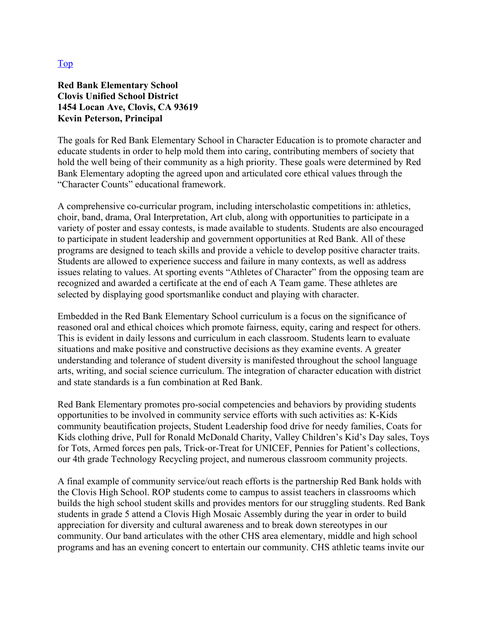#### Top

#### **Red Bank Elementary School Clovis Unified School District 1454 Locan Ave, Clovis, CA 93619 Kevin Peterson, Principal**

The goals for Red Bank Elementary School in Character Education is to promote character and educate students in order to help mold them into caring, contributing members of society that hold the well being of their community as a high priority. These goals were determined by Red Bank Elementary adopting the agreed upon and articulated core ethical values through the "Character Counts" educational framework.

A comprehensive co-curricular program, including interscholastic competitions in: athletics, choir, band, drama, Oral Interpretation, Art club, along with opportunities to participate in a variety of poster and essay contests, is made available to students. Students are also encouraged to participate in student leadership and government opportunities at Red Bank. All of these programs are designed to teach skills and provide a vehicle to develop positive character traits. Students are allowed to experience success and failure in many contexts, as well as address issues relating to values. At sporting events "Athletes of Character" from the opposing team are recognized and awarded a certificate at the end of each A Team game. These athletes are selected by displaying good sportsmanlike conduct and playing with character.

Embedded in the Red Bank Elementary School curriculum is a focus on the significance of reasoned oral and ethical choices which promote fairness, equity, caring and respect for others. This is evident in daily lessons and curriculum in each classroom. Students learn to evaluate situations and make positive and constructive decisions as they examine events. A greater understanding and tolerance of student diversity is manifested throughout the school language arts, writing, and social science curriculum. The integration of character education with district and state standards is a fun combination at Red Bank.

Red Bank Elementary promotes pro-social competencies and behaviors by providing students opportunities to be involved in community service efforts with such activities as: K-Kids community beautification projects, Student Leadership food drive for needy families, Coats for Kids clothing drive, Pull for Ronald McDonald Charity, Valley Children's Kid's Day sales, Toys for Tots, Armed forces pen pals, Trick-or-Treat for UNICEF, Pennies for Patient's collections, our 4th grade Technology Recycling project, and numerous classroom community projects.

A final example of community service/out reach efforts is the partnership Red Bank holds with the Clovis High School. ROP students come to campus to assist teachers in classrooms which builds the high school student skills and provides mentors for our struggling students. Red Bank students in grade 5 attend a Clovis High Mosaic Assembly during the year in order to build appreciation for diversity and cultural awareness and to break down stereotypes in our community. Our band articulates with the other CHS area elementary, middle and high school programs and has an evening concert to entertain our community. CHS athletic teams invite our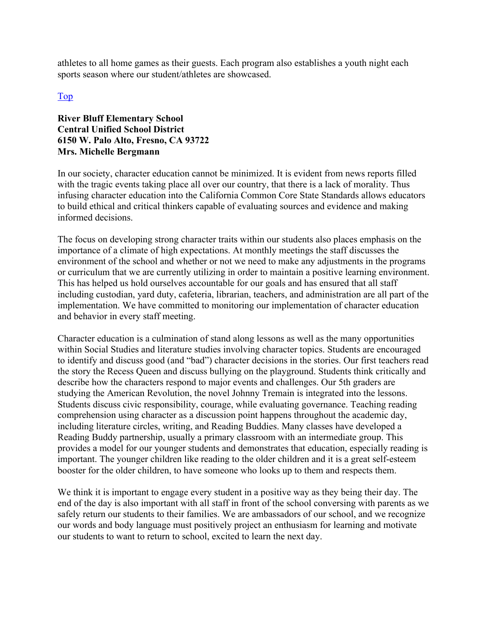athletes to all home games as their guests. Each program also establishes a youth night each sports season where our student/athletes are showcased.

#### Top

#### **River Bluff Elementary School Central Unified School District 6150 W. Palo Alto, Fresno, CA 93722 Mrs. Michelle Bergmann**

In our society, character education cannot be minimized. It is evident from news reports filled with the tragic events taking place all over our country, that there is a lack of morality. Thus infusing character education into the California Common Core State Standards allows educators to build ethical and critical thinkers capable of evaluating sources and evidence and making informed decisions.

The focus on developing strong character traits within our students also places emphasis on the importance of a climate of high expectations. At monthly meetings the staff discusses the environment of the school and whether or not we need to make any adjustments in the programs or curriculum that we are currently utilizing in order to maintain a positive learning environment. This has helped us hold ourselves accountable for our goals and has ensured that all staff including custodian, yard duty, cafeteria, librarian, teachers, and administration are all part of the implementation. We have committed to monitoring our implementation of character education and behavior in every staff meeting.

Character education is a culmination of stand along lessons as well as the many opportunities within Social Studies and literature studies involving character topics. Students are encouraged to identify and discuss good (and "bad") character decisions in the stories. Our first teachers read the story the Recess Queen and discuss bullying on the playground. Students think critically and describe how the characters respond to major events and challenges. Our 5th graders are studying the American Revolution, the novel Johnny Tremain is integrated into the lessons. Students discuss civic responsibility, courage, while evaluating governance. Teaching reading comprehension using character as a discussion point happens throughout the academic day, including literature circles, writing, and Reading Buddies. Many classes have developed a Reading Buddy partnership, usually a primary classroom with an intermediate group. This provides a model for our younger students and demonstrates that education, especially reading is important. The younger children like reading to the older children and it is a great self-esteem booster for the older children, to have someone who looks up to them and respects them.

We think it is important to engage every student in a positive way as they being their day. The end of the day is also important with all staff in front of the school conversing with parents as we safely return our students to their families. We are ambassadors of our school, and we recognize our words and body language must positively project an enthusiasm for learning and motivate our students to want to return to school, excited to learn the next day.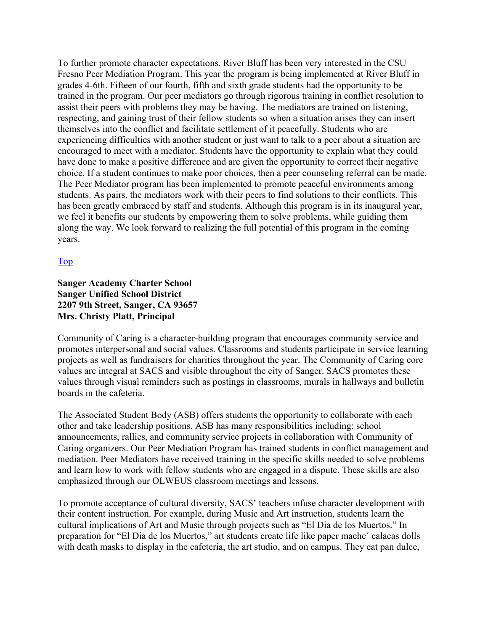To further promote character expectations, River Bluff has been very interested in the CSU Fresno Peer Mediation Program. This year the program is being implemented at River Bluff in grades 4-6th. Fifteen of our fourth, fifth and sixth grade students had the opportunity to be trained in the program. Our peer mediators go through rigorous training in conflict resolution to assist their peers with problems they may be having. The mediators are trained on listening, respecting, and gaining trust of their fellow students so when a situation arises they can insert themselves into the conflict and facilitate settlement of it peacefully. Students who are experiencing difficulties with another student or just want to talk to a peer about a situation are encouraged to meet with a mediator. Students have the opportunity to explain what they could have done to make a positive difference and are given the opportunity to correct their negative choice. If a student continues to make poor choices, then a peer counseling referral can be made. The Peer Mediator program has been implemented to promote peaceful environments among students. As pairs, the mediators work with their peers to find solutions to their conflicts. This has been greatly embraced by staff and students. Although this program is in its inaugural year, we feel it benefits our students by empowering them to solve problems, while guiding them along the way. We look forward to realizing the full potential of this program in the coming years.

#### Top

#### **Sanger Academy Charter School Sanger Unified School District 2207 9th Street, Sanger, CA 93657 Mrs. Christy Platt, Principal**

Community of Caring is a character-building program that encourages community service and promotes interpersonal and social values. Classrooms and students participate in service learning projects as well as fundraisers for charities throughout the year. The Community of Caring core values are integral at SACS and visible throughout the city of Sanger. SACS promotes these values through visual reminders such as postings in classrooms, murals in hallways and bulletin boards in the cafeteria.

The Associated Student Body (ASB) offers students the opportunity to collaborate with each other and take leadership positions. ASB has many responsibilities including: school announcements, rallies, and community service projects in collaboration with Community of Caring organizers. Our Peer Mediation Program has trained students in conflict management and mediation. Peer Mediators have received training in the specific skills needed to solve problems and learn how to work with fellow students who are engaged in a dispute. These skills are also emphasized through our OLWEUS classroom meetings and lessons.

To promote acceptance of cultural diversity, SACS' teachers infuse character development with their content instruction. For example, during Music and Art instruction, students learn the cultural implications of Art and Music through projects such as "El Dia de los Muertos." In preparation for "El Dia de los Muertos," art students create life like paper mache´ calacas dolls with death masks to display in the cafeteria, the art studio, and on campus. They eat pan dulce,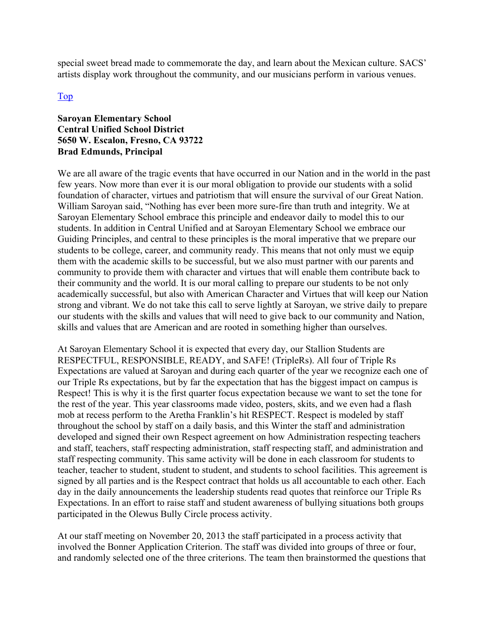special sweet bread made to commemorate the day, and learn about the Mexican culture. SACS' artists display work throughout the community, and our musicians perform in various venues.

#### Top

#### **Saroyan Elementary School Central Unified School District 5650 W. Escalon, Fresno, CA 93722 Brad Edmunds, Principal**

We are all aware of the tragic events that have occurred in our Nation and in the world in the past few years. Now more than ever it is our moral obligation to provide our students with a solid foundation of character, virtues and patriotism that will ensure the survival of our Great Nation. William Saroyan said, "Nothing has ever been more sure-fire than truth and integrity. We at Saroyan Elementary School embrace this principle and endeavor daily to model this to our students. In addition in Central Unified and at Saroyan Elementary School we embrace our Guiding Principles, and central to these principles is the moral imperative that we prepare our students to be college, career, and community ready. This means that not only must we equip them with the academic skills to be successful, but we also must partner with our parents and community to provide them with character and virtues that will enable them contribute back to their community and the world. It is our moral calling to prepare our students to be not only academically successful, but also with American Character and Virtues that will keep our Nation strong and vibrant. We do not take this call to serve lightly at Saroyan, we strive daily to prepare our students with the skills and values that will need to give back to our community and Nation, skills and values that are American and are rooted in something higher than ourselves.

At Saroyan Elementary School it is expected that every day, our Stallion Students are RESPECTFUL, RESPONSIBLE, READY, and SAFE! (TripleRs). All four of Triple Rs Expectations are valued at Saroyan and during each quarter of the year we recognize each one of our Triple Rs expectations, but by far the expectation that has the biggest impact on campus is Respect! This is why it is the first quarter focus expectation because we want to set the tone for the rest of the year. This year classrooms made video, posters, skits, and we even had a flash mob at recess perform to the Aretha Franklin's hit RESPECT. Respect is modeled by staff throughout the school by staff on a daily basis, and this Winter the staff and administration developed and signed their own Respect agreement on how Administration respecting teachers and staff, teachers, staff respecting administration, staff respecting staff, and administration and staff respecting community. This same activity will be done in each classroom for students to teacher, teacher to student, student to student, and students to school facilities. This agreement is signed by all parties and is the Respect contract that holds us all accountable to each other. Each day in the daily announcements the leadership students read quotes that reinforce our Triple Rs Expectations. In an effort to raise staff and student awareness of bullying situations both groups participated in the Olewus Bully Circle process activity.

At our staff meeting on November 20, 2013 the staff participated in a process activity that involved the Bonner Application Criterion. The staff was divided into groups of three or four, and randomly selected one of the three criterions. The team then brainstormed the questions that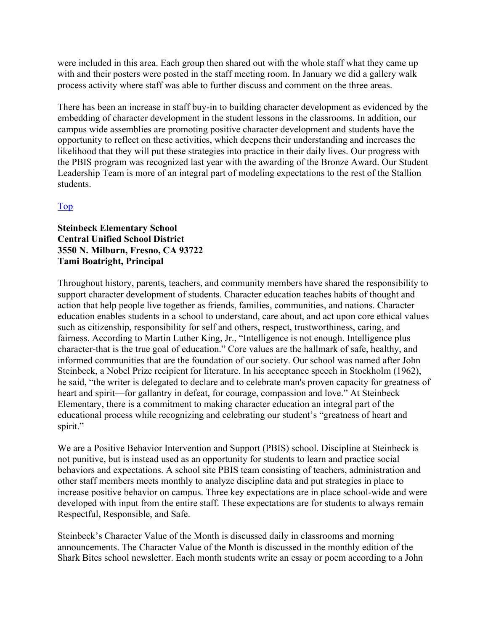were included in this area. Each group then shared out with the whole staff what they came up with and their posters were posted in the staff meeting room. In January we did a gallery walk process activity where staff was able to further discuss and comment on the three areas.

There has been an increase in staff buy-in to building character development as evidenced by the embedding of character development in the student lessons in the classrooms. In addition, our campus wide assemblies are promoting positive character development and students have the opportunity to reflect on these activities, which deepens their understanding and increases the likelihood that they will put these strategies into practice in their daily lives. Our progress with the PBIS program was recognized last year with the awarding of the Bronze Award. Our Student Leadership Team is more of an integral part of modeling expectations to the rest of the Stallion students.

#### Top

#### **Steinbeck Elementary School Central Unified School District 3550 N. Milburn, Fresno, CA 93722 Tami Boatright, Principal**

Throughout history, parents, teachers, and community members have shared the responsibility to support character development of students. Character education teaches habits of thought and action that help people live together as friends, families, communities, and nations. Character education enables students in a school to understand, care about, and act upon core ethical values such as citizenship, responsibility for self and others, respect, trustworthiness, caring, and fairness. According to Martin Luther King, Jr., "Intelligence is not enough. Intelligence plus character-that is the true goal of education." Core values are the hallmark of safe, healthy, and informed communities that are the foundation of our society. Our school was named after John Steinbeck, a Nobel Prize recipient for literature. In his acceptance speech in Stockholm (1962), he said, "the writer is delegated to declare and to celebrate man's proven capacity for greatness of heart and spirit—for gallantry in defeat, for courage, compassion and love." At Steinbeck Elementary, there is a commitment to making character education an integral part of the educational process while recognizing and celebrating our student's "greatness of heart and spirit."

We are a Positive Behavior Intervention and Support (PBIS) school. Discipline at Steinbeck is not punitive, but is instead used as an opportunity for students to learn and practice social behaviors and expectations. A school site PBIS team consisting of teachers, administration and other staff members meets monthly to analyze discipline data and put strategies in place to increase positive behavior on campus. Three key expectations are in place school-wide and were developed with input from the entire staff. These expectations are for students to always remain Respectful, Responsible, and Safe.

Steinbeck's Character Value of the Month is discussed daily in classrooms and morning announcements. The Character Value of the Month is discussed in the monthly edition of the Shark Bites school newsletter. Each month students write an essay or poem according to a John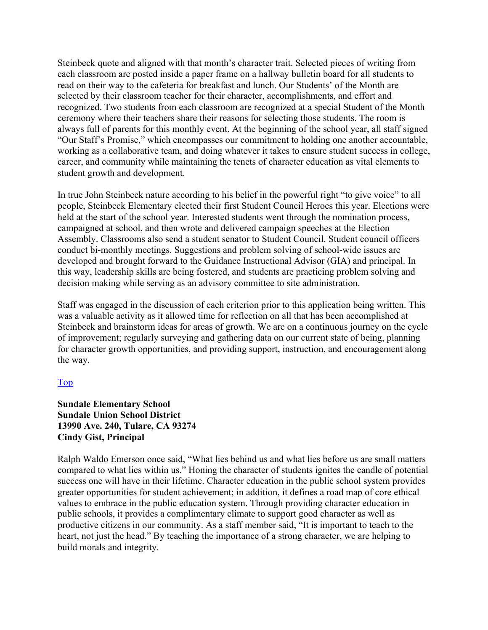Steinbeck quote and aligned with that month's character trait. Selected pieces of writing from each classroom are posted inside a paper frame on a hallway bulletin board for all students to read on their way to the cafeteria for breakfast and lunch. Our Students' of the Month are selected by their classroom teacher for their character, accomplishments, and effort and recognized. Two students from each classroom are recognized at a special Student of the Month ceremony where their teachers share their reasons for selecting those students. The room is always full of parents for this monthly event. At the beginning of the school year, all staff signed "Our Staff's Promise," which encompasses our commitment to holding one another accountable, working as a collaborative team, and doing whatever it takes to ensure student success in college, career, and community while maintaining the tenets of character education as vital elements to student growth and development.

In true John Steinbeck nature according to his belief in the powerful right "to give voice" to all people, Steinbeck Elementary elected their first Student Council Heroes this year. Elections were held at the start of the school year. Interested students went through the nomination process, campaigned at school, and then wrote and delivered campaign speeches at the Election Assembly. Classrooms also send a student senator to Student Council. Student council officers conduct bi-monthly meetings. Suggestions and problem solving of school-wide issues are developed and brought forward to the Guidance Instructional Advisor (GIA) and principal. In this way, leadership skills are being fostered, and students are practicing problem solving and decision making while serving as an advisory committee to site administration.

Staff was engaged in the discussion of each criterion prior to this application being written. This was a valuable activity as it allowed time for reflection on all that has been accomplished at Steinbeck and brainstorm ideas for areas of growth. We are on a continuous journey on the cycle of improvement; regularly surveying and gathering data on our current state of being, planning for character growth opportunities, and providing support, instruction, and encouragement along the way.

#### Top

#### **Sundale Elementary School Sundale Union School District 13990 Ave. 240, Tulare, CA 93274 Cindy Gist, Principal**

Ralph Waldo Emerson once said, "What lies behind us and what lies before us are small matters compared to what lies within us." Honing the character of students ignites the candle of potential success one will have in their lifetime. Character education in the public school system provides greater opportunities for student achievement; in addition, it defines a road map of core ethical values to embrace in the public education system. Through providing character education in public schools, it provides a complimentary climate to support good character as well as productive citizens in our community. As a staff member said, "It is important to teach to the heart, not just the head." By teaching the importance of a strong character, we are helping to build morals and integrity.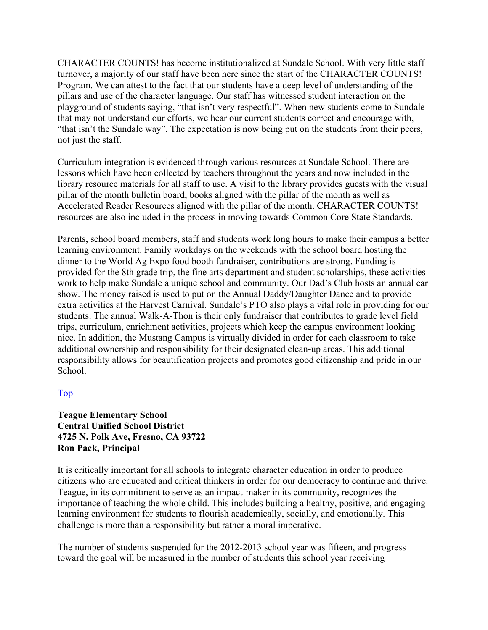CHARACTER COUNTS! has become institutionalized at Sundale School. With very little staff turnover, a majority of our staff have been here since the start of the CHARACTER COUNTS! Program. We can attest to the fact that our students have a deep level of understanding of the pillars and use of the character language. Our staff has witnessed student interaction on the playground of students saying, "that isn't very respectful". When new students come to Sundale that may not understand our efforts, we hear our current students correct and encourage with, "that isn't the Sundale way". The expectation is now being put on the students from their peers, not just the staff.

Curriculum integration is evidenced through various resources at Sundale School. There are lessons which have been collected by teachers throughout the years and now included in the library resource materials for all staff to use. A visit to the library provides guests with the visual pillar of the month bulletin board, books aligned with the pillar of the month as well as Accelerated Reader Resources aligned with the pillar of the month. CHARACTER COUNTS! resources are also included in the process in moving towards Common Core State Standards.

Parents, school board members, staff and students work long hours to make their campus a better learning environment. Family workdays on the weekends with the school board hosting the dinner to the World Ag Expo food booth fundraiser, contributions are strong. Funding is provided for the 8th grade trip, the fine arts department and student scholarships, these activities work to help make Sundale a unique school and community. Our Dad's Club hosts an annual car show. The money raised is used to put on the Annual Daddy/Daughter Dance and to provide extra activities at the Harvest Carnival. Sundale's PTO also plays a vital role in providing for our students. The annual Walk-A-Thon is their only fundraiser that contributes to grade level field trips, curriculum, enrichment activities, projects which keep the campus environment looking nice. In addition, the Mustang Campus is virtually divided in order for each classroom to take additional ownership and responsibility for their designated clean-up areas. This additional responsibility allows for beautification projects and promotes good citizenship and pride in our School.

#### Top

#### **Teague Elementary School Central Unified School District 4725 N. Polk Ave, Fresno, CA 93722 Ron Pack, Principal**

It is critically important for all schools to integrate character education in order to produce citizens who are educated and critical thinkers in order for our democracy to continue and thrive. Teague, in its commitment to serve as an impact-maker in its community, recognizes the importance of teaching the whole child. This includes building a healthy, positive, and engaging learning environment for students to flourish academically, socially, and emotionally. This challenge is more than a responsibility but rather a moral imperative.

The number of students suspended for the 2012-2013 school year was fifteen, and progress toward the goal will be measured in the number of students this school year receiving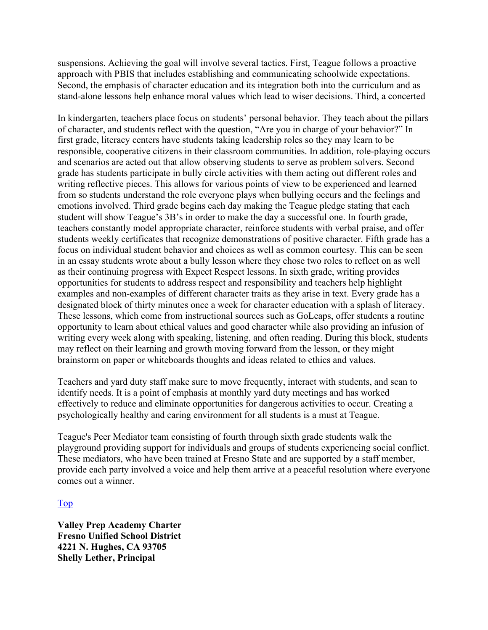suspensions. Achieving the goal will involve several tactics. First, Teague follows a proactive approach with PBIS that includes establishing and communicating schoolwide expectations. Second, the emphasis of character education and its integration both into the curriculum and as stand-alone lessons help enhance moral values which lead to wiser decisions. Third, a concerted

In kindergarten, teachers place focus on students' personal behavior. They teach about the pillars of character, and students reflect with the question, "Are you in charge of your behavior?" In first grade, literacy centers have students taking leadership roles so they may learn to be responsible, cooperative citizens in their classroom communities. In addition, role-playing occurs and scenarios are acted out that allow observing students to serve as problem solvers. Second grade has students participate in bully circle activities with them acting out different roles and writing reflective pieces. This allows for various points of view to be experienced and learned from so students understand the role everyone plays when bullying occurs and the feelings and emotions involved. Third grade begins each day making the Teague pledge stating that each student will show Teague's 3B's in order to make the day a successful one. In fourth grade, teachers constantly model appropriate character, reinforce students with verbal praise, and offer students weekly certificates that recognize demonstrations of positive character. Fifth grade has a focus on individual student behavior and choices as well as common courtesy. This can be seen in an essay students wrote about a bully lesson where they chose two roles to reflect on as well as their continuing progress with Expect Respect lessons. In sixth grade, writing provides opportunities for students to address respect and responsibility and teachers help highlight examples and non-examples of different character traits as they arise in text. Every grade has a designated block of thirty minutes once a week for character education with a splash of literacy. These lessons, which come from instructional sources such as GoLeaps, offer students a routine opportunity to learn about ethical values and good character while also providing an infusion of writing every week along with speaking, listening, and often reading. During this block, students may reflect on their learning and growth moving forward from the lesson, or they might brainstorm on paper or whiteboards thoughts and ideas related to ethics and values.

Teachers and yard duty staff make sure to move frequently, interact with students, and scan to identify needs. It is a point of emphasis at monthly yard duty meetings and has worked effectively to reduce and eliminate opportunities for dangerous activities to occur. Creating a psychologically healthy and caring environment for all students is a must at Teague.

Teague's Peer Mediator team consisting of fourth through sixth grade students walk the playground providing support for individuals and groups of students experiencing social conflict. These mediators, who have been trained at Fresno State and are supported by a staff member, provide each party involved a voice and help them arrive at a peaceful resolution where everyone comes out a winner.

Top

**Valley Prep Academy Charter Fresno Unified School District 4221 N. Hughes, CA 93705 Shelly Lether, Principal**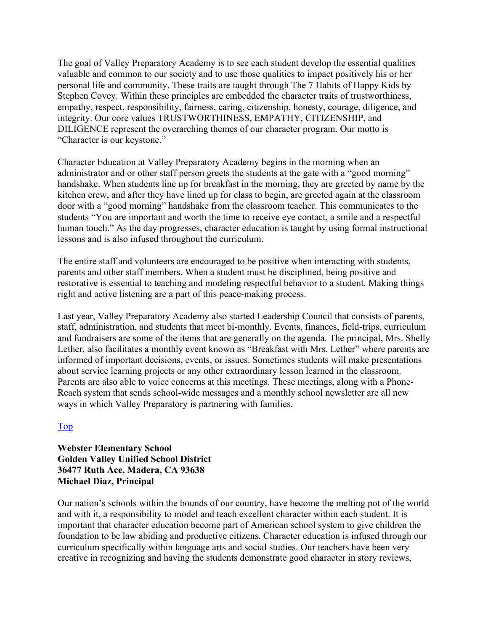The goal of Valley Preparatory Academy is to see each student develop the essential qualities valuable and common to our society and to use those qualities to impact positively his or her personal life and community. These traits are taught through The 7 Habits of Happy Kids by Stephen Covey. Within these principles are embedded the character traits of trustworthiness, empathy, respect, responsibility, fairness, caring, citizenship, honesty, courage, diligence, and integrity. Our core values TRUSTWORTHINESS, EMPATHY, CITIZENSHIP, and DILIGENCE represent the overarching themes of our character program. Our motto is "Character is our keystone."

Character Education at Valley Preparatory Academy begins in the morning when an administrator and or other staff person greets the students at the gate with a "good morning" handshake. When students line up for breakfast in the morning, they are greeted by name by the kitchen crew, and after they have lined up for class to begin, are greeted again at the classroom door with a "good morning" handshake from the classroom teacher. This communicates to the students "You are important and worth the time to receive eye contact, a smile and a respectful human touch." As the day progresses, character education is taught by using formal instructional lessons and is also infused throughout the curriculum.

The entire staff and volunteers are encouraged to be positive when interacting with students, parents and other staff members. When a student must be disciplined, being positive and restorative is essential to teaching and modeling respectful behavior to a student. Making things right and active listening are a part of this peace-making process.

Last year, Valley Preparatory Academy also started Leadership Council that consists of parents, staff, administration, and students that meet bi-monthly. Events, finances, field-trips, curriculum and fundraisers are some of the items that are generally on the agenda. The principal, Mrs. Shelly Lether, also facilitates a monthly event known as "Breakfast with Mrs. Lether" where parents are informed of important decisions, events, or issues. Sometimes students will make presentations about service learning projects or any other extraordinary lesson learned in the classroom. Parents are also able to voice concerns at this meetings. These meetings, along with a Phone-Reach system that sends school-wide messages and a monthly school newsletter are all new ways in which Valley Preparatory is partnering with families.

#### Top

#### **Webster Elementary School Golden Valley Unified School District 36477 Ruth Ace, Madera, CA 93638 Michael Diaz, Principal**

Our nation's schools within the bounds of our country, have become the melting pot of the world and with it, a responsibility to model and teach excellent character within each student. It is important that character education become part of American school system to give children the foundation to be law abiding and productive citizens. Character education is infused through our curriculum specifically within language arts and social studies. Our teachers have been very creative in recognizing and having the students demonstrate good character in story reviews,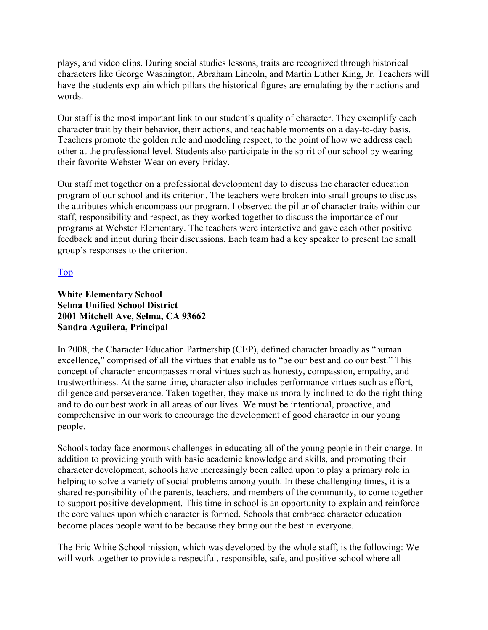plays, and video clips. During social studies lessons, traits are recognized through historical characters like George Washington, Abraham Lincoln, and Martin Luther King, Jr. Teachers will have the students explain which pillars the historical figures are emulating by their actions and words.

Our staff is the most important link to our student's quality of character. They exemplify each character trait by their behavior, their actions, and teachable moments on a day-to-day basis. Teachers promote the golden rule and modeling respect, to the point of how we address each other at the professional level. Students also participate in the spirit of our school by wearing their favorite Webster Wear on every Friday.

Our staff met together on a professional development day to discuss the character education program of our school and its criterion. The teachers were broken into small groups to discuss the attributes which encompass our program. I observed the pillar of character traits within our staff, responsibility and respect, as they worked together to discuss the importance of our programs at Webster Elementary. The teachers were interactive and gave each other positive feedback and input during their discussions. Each team had a key speaker to present the small group's responses to the criterion.

#### Top

#### **White Elementary School Selma Unified School District 2001 Mitchell Ave, Selma, CA 93662 Sandra Aguilera, Principal**

In 2008, the Character Education Partnership (CEP), defined character broadly as "human excellence," comprised of all the virtues that enable us to "be our best and do our best." This concept of character encompasses moral virtues such as honesty, compassion, empathy, and trustworthiness. At the same time, character also includes performance virtues such as effort, diligence and perseverance. Taken together, they make us morally inclined to do the right thing and to do our best work in all areas of our lives. We must be intentional, proactive, and comprehensive in our work to encourage the development of good character in our young people.

Schools today face enormous challenges in educating all of the young people in their charge. In addition to providing youth with basic academic knowledge and skills, and promoting their character development, schools have increasingly been called upon to play a primary role in helping to solve a variety of social problems among youth. In these challenging times, it is a shared responsibility of the parents, teachers, and members of the community, to come together to support positive development. This time in school is an opportunity to explain and reinforce the core values upon which character is formed. Schools that embrace character education become places people want to be because they bring out the best in everyone.

The Eric White School mission, which was developed by the whole staff, is the following: We will work together to provide a respectful, responsible, safe, and positive school where all